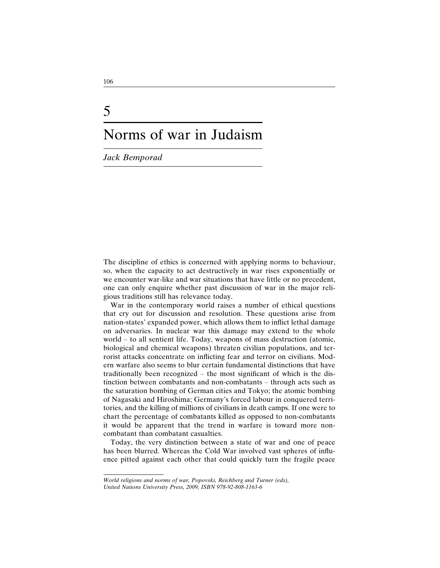# 5 Norms of war in Judaism

Jack Bemporad

The discipline of ethics is concerned with applying norms to behaviour, so, when the capacity to act destructively in war rises exponentially or we encounter war-like and war situations that have little or no precedent, one can only enquire whether past discussion of war in the major religious traditions still has relevance today.

War in the contemporary world raises a number of ethical questions that cry out for discussion and resolution. These questions arise from nation-states' expanded power, which allows them to inflict lethal damage on adversaries. In nuclear war this damage may extend to the whole world – to all sentient life. Today, weapons of mass destruction (atomic, biological and chemical weapons) threaten civilian populations, and terrorist attacks concentrate on inflicting fear and terror on civilians. Modern warfare also seems to blur certain fundamental distinctions that have traditionally been recognized – the most significant of which is the distinction between combatants and non-combatants – through acts such as the saturation bombing of German cities and Tokyo; the atomic bombing of Nagasaki and Hiroshima; Germany's forced labour in conquered territories, and the killing of millions of civilians in death camps. If one were to chart the percentage of combatants killed as opposed to non-combatants it would be apparent that the trend in warfare is toward more noncombatant than combatant casualties.

Today, the very distinction between a state of war and one of peace has been blurred. Whereas the Cold War involved vast spheres of influence pitted against each other that could quickly turn the fragile peace

World religions and norms of war, Popovski, Reichberg and Turner (eds), United Nations University Press, 2009, ISBN 978-92-808-1163-6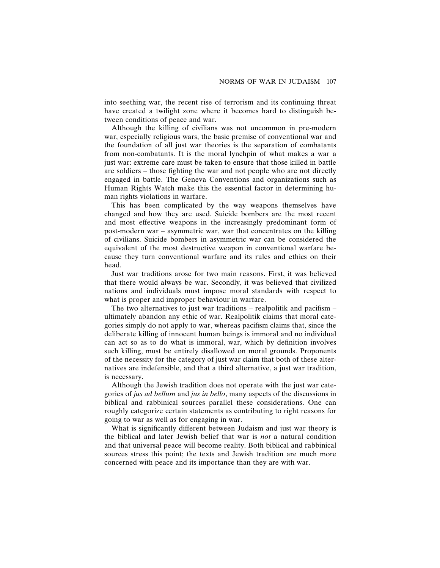into seething war, the recent rise of terrorism and its continuing threat have created a twilight zone where it becomes hard to distinguish between conditions of peace and war.

Although the killing of civilians was not uncommon in pre-modern war, especially religious wars, the basic premise of conventional war and the foundation of all just war theories is the separation of combatants from non-combatants. It is the moral lynchpin of what makes a war a just war: extreme care must be taken to ensure that those killed in battle are soldiers – those fighting the war and not people who are not directly engaged in battle. The Geneva Conventions and organizations such as Human Rights Watch make this the essential factor in determining human rights violations in warfare.

This has been complicated by the way weapons themselves have changed and how they are used. Suicide bombers are the most recent and most effective weapons in the increasingly predominant form of post-modern war – asymmetric war, war that concentrates on the killing of civilians. Suicide bombers in asymmetric war can be considered the equivalent of the most destructive weapon in conventional warfare because they turn conventional warfare and its rules and ethics on their head.

Just war traditions arose for two main reasons. First, it was believed that there would always be war. Secondly, it was believed that civilized nations and individuals must impose moral standards with respect to what is proper and improper behaviour in warfare.

The two alternatives to just war traditions – realpolitik and pacifism – ultimately abandon any ethic of war. Realpolitik claims that moral categories simply do not apply to war, whereas pacifism claims that, since the deliberate killing of innocent human beings is immoral and no individual can act so as to do what is immoral, war, which by definition involves such killing, must be entirely disallowed on moral grounds. Proponents of the necessity for the category of just war claim that both of these alternatives are indefensible, and that a third alternative, a just war tradition, is necessary.

Although the Jewish tradition does not operate with the just war categories of jus ad bellum and jus in bello, many aspects of the discussions in biblical and rabbinical sources parallel these considerations. One can roughly categorize certain statements as contributing to right reasons for going to war as well as for engaging in war.

What is significantly different between Judaism and just war theory is the biblical and later Jewish belief that war is not a natural condition and that universal peace will become reality. Both biblical and rabbinical sources stress this point; the texts and Jewish tradition are much more concerned with peace and its importance than they are with war.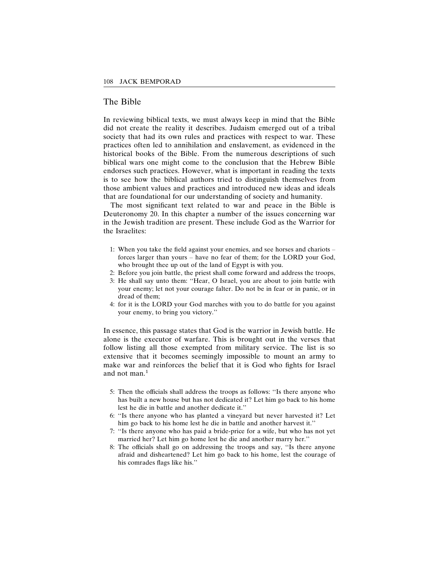## The Bible

In reviewing biblical texts, we must always keep in mind that the Bible did not create the reality it describes. Judaism emerged out of a tribal society that had its own rules and practices with respect to war. These practices often led to annihilation and enslavement, as evidenced in the historical books of the Bible. From the numerous descriptions of such biblical wars one might come to the conclusion that the Hebrew Bible endorses such practices. However, what is important in reading the texts is to see how the biblical authors tried to distinguish themselves from those ambient values and practices and introduced new ideas and ideals that are foundational for our understanding of society and humanity.

The most significant text related to war and peace in the Bible is Deuteronomy 20. In this chapter a number of the issues concerning war in the Jewish tradition are present. These include God as the Warrior for the Israelites:

- 1: When you take the field against your enemies, and see horses and chariots forces larger than yours – have no fear of them; for the LORD your God, who brought thee up out of the land of Egypt is with you.
- 2: Before you join battle, the priest shall come forward and address the troops,
- 3: He shall say unto them: ''Hear, O Israel, you are about to join battle with your enemy; let not your courage falter. Do not be in fear or in panic, or in dread of them;
- 4: for it is the LORD your God marches with you to do battle for you against your enemy, to bring you victory.''

In essence, this passage states that God is the warrior in Jewish battle. He alone is the executor of warfare. This is brought out in the verses that follow listing all those exempted from military service. The list is so extensive that it becomes seemingly impossible to mount an army to make war and reinforces the belief that it is God who fights for Israel and not man.1

- 5: Then the officials shall address the troops as follows: ''Is there anyone who has built a new house but has not dedicated it? Let him go back to his home lest he die in battle and another dedicate it.''
- 6: ''Is there anyone who has planted a vineyard but never harvested it? Let him go back to his home lest he die in battle and another harvest it.''
- 7: ''Is there anyone who has paid a bride-price for a wife, but who has not yet married her? Let him go home lest he die and another marry her.''
- 8: The officials shall go on addressing the troops and say, ''Is there anyone afraid and disheartened? Let him go back to his home, lest the courage of his comrades flags like his.''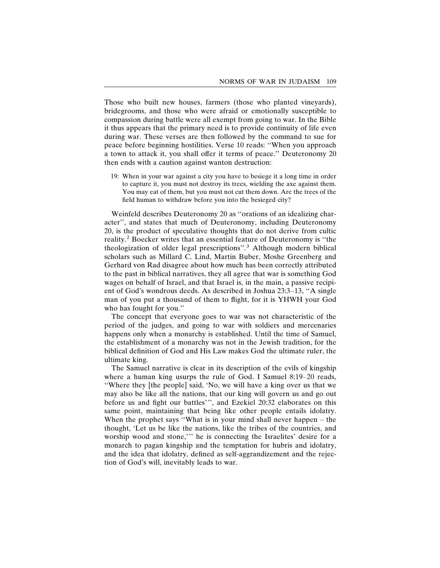Those who built new houses, farmers (those who planted vineyards), bridegrooms, and those who were afraid or emotionally susceptible to compassion during battle were all exempt from going to war. In the Bible it thus appears that the primary need is to provide continuity of life even during war. These verses are then followed by the command to sue for peace before beginning hostilities. Verse 10 reads: ''When you approach a town to attack it, you shall offer it terms of peace.'' Deuteronomy 20 then ends with a caution against wanton destruction:

19: When in your war against a city you have to besiege it a long time in order to capture it, you must not destroy its trees, wielding the axe against them. You may eat of them, but you must not cut them down. Are the trees of the field human to withdraw before you into the besieged city?

Weinfeld describes Deuteronomy 20 as ''orations of an idealizing character'', and states that much of Deuteronomy, including Deuteronomy 20, is the product of speculative thoughts that do not derive from cultic reality.2 Boecker writes that an essential feature of Deuteronomy is ''the theologization of older legal prescriptions''.3 Although modern biblical scholars such as Millard C. Lind, Martin Buber, Moshe Greenberg and Gerhard von Rad disagree about how much has been correctly attributed to the past in biblical narratives, they all agree that war is something God wages on behalf of Israel, and that Israel is, in the main, a passive recipient of God's wondrous deeds. As described in Joshua 23:3–13, ''A single man of you put a thousand of them to flight, for it is YHWH your God who has fought for you.''

The concept that everyone goes to war was not characteristic of the period of the judges, and going to war with soldiers and mercenaries happens only when a monarchy is established. Until the time of Samuel, the establishment of a monarchy was not in the Jewish tradition, for the biblical definition of God and His Law makes God the ultimate ruler, the ultimate king.

The Samuel narrative is clear in its description of the evils of kingship where a human king usurps the rule of God. I Samuel 8:19–20 reads, ''Where they [the people] said, 'No, we will have a king over us that we may also be like all the nations, that our king will govern us and go out before us and fight our battles'", and Ezekiel 20:32 elaborates on this same point, maintaining that being like other people entails idolatry. When the prophet says "What is in your mind shall never happen – the thought, 'Let us be like the nations, like the tribes of the countries, and worship wood and stone,''' he is connecting the Israelites' desire for a monarch to pagan kingship and the temptation for hubris and idolatry, and the idea that idolatry, defined as self-aggrandizement and the rejection of God's will, inevitably leads to war.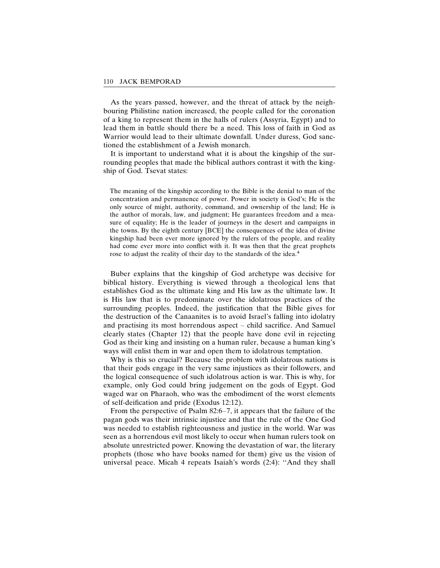As the years passed, however, and the threat of attack by the neighbouring Philistine nation increased, the people called for the coronation of a king to represent them in the halls of rulers (Assyria, Egypt) and to lead them in battle should there be a need. This loss of faith in God as Warrior would lead to their ultimate downfall. Under duress, God sanctioned the establishment of a Jewish monarch.

It is important to understand what it is about the kingship of the surrounding peoples that made the biblical authors contrast it with the kingship of God. Tsevat states:

The meaning of the kingship according to the Bible is the denial to man of the concentration and permanence of power. Power in society is God's; He is the only source of might, authority, command, and ownership of the land; He is the author of morals, law, and judgment; He guarantees freedom and a measure of equality; He is the leader of journeys in the desert and campaigns in the towns. By the eighth century [BCE] the consequences of the idea of divine kingship had been ever more ignored by the rulers of the people, and reality had come ever more into conflict with it. It was then that the great prophets rose to adjust the reality of their day to the standards of the idea.<sup>4</sup>

Buber explains that the kingship of God archetype was decisive for biblical history. Everything is viewed through a theological lens that establishes God as the ultimate king and His law as the ultimate law. It is His law that is to predominate over the idolatrous practices of the surrounding peoples. Indeed, the justification that the Bible gives for the destruction of the Canaanites is to avoid Israel's falling into idolatry and practising its most horrendous aspect – child sacrifice. And Samuel clearly states (Chapter 12) that the people have done evil in rejecting God as their king and insisting on a human ruler, because a human king's ways will enlist them in war and open them to idolatrous temptation.

Why is this so crucial? Because the problem with idolatrous nations is that their gods engage in the very same injustices as their followers, and the logical consequence of such idolatrous action is war. This is why, for example, only God could bring judgement on the gods of Egypt. God waged war on Pharaoh, who was the embodiment of the worst elements of self-deification and pride (Exodus 12:12).

From the perspective of Psalm 82:6–7, it appears that the failure of the pagan gods was their intrinsic injustice and that the rule of the One God was needed to establish righteousness and justice in the world. War was seen as a horrendous evil most likely to occur when human rulers took on absolute unrestricted power. Knowing the devastation of war, the literary prophets (those who have books named for them) give us the vision of universal peace. Micah 4 repeats Isaiah's words (2:4): ''And they shall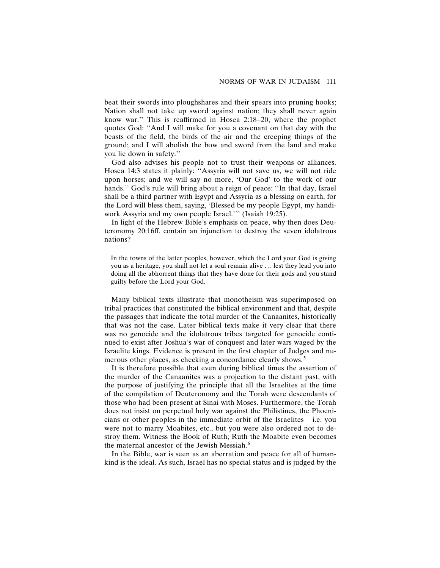beat their swords into ploughshares and their spears into pruning hooks; Nation shall not take up sword against nation; they shall never again know war.'' This is reaffirmed in Hosea 2:18–20, where the prophet quotes God: ''And I will make for you a covenant on that day with the beasts of the field, the birds of the air and the creeping things of the ground; and I will abolish the bow and sword from the land and make you lie down in safety.''

God also advises his people not to trust their weapons or alliances. Hosea 14:3 states it plainly: ''Assyria will not save us, we will not ride upon horses; and we will say no more, 'Our God' to the work of our hands." God's rule will bring about a reign of peace: "In that day, Israel shall be a third partner with Egypt and Assyria as a blessing on earth, for the Lord will bless them, saying, 'Blessed be my people Egypt, my handiwork Assyria and my own people Israel.''' (Isaiah 19:25).

In light of the Hebrew Bible's emphasis on peace, why then does Deuteronomy 20:16ff. contain an injunction to destroy the seven idolatrous nations?

In the towns of the latter peoples, however, which the Lord your God is giving you as a heritage, you shall not let a soul remain alive . . . lest they lead you into doing all the abhorrent things that they have done for their gods and you stand guilty before the Lord your God.

Many biblical texts illustrate that monotheism was superimposed on tribal practices that constituted the biblical environment and that, despite the passages that indicate the total murder of the Canaanites, historically that was not the case. Later biblical texts make it very clear that there was no genocide and the idolatrous tribes targeted for genocide continued to exist after Joshua's war of conquest and later wars waged by the Israelite kings. Evidence is present in the first chapter of Judges and numerous other places, as checking a concordance clearly shows.<sup>5</sup>

It is therefore possible that even during biblical times the assertion of the murder of the Canaanites was a projection to the distant past, with the purpose of justifying the principle that all the Israelites at the time of the compilation of Deuteronomy and the Torah were descendants of those who had been present at Sinai with Moses. Furthermore, the Torah does not insist on perpetual holy war against the Philistines, the Phoenicians or other peoples in the immediate orbit of the Israelites – i.e. you were not to marry Moabites, etc., but you were also ordered not to destroy them. Witness the Book of Ruth; Ruth the Moabite even becomes the maternal ancestor of the Jewish Messiah.<sup>6</sup>

In the Bible, war is seen as an aberration and peace for all of humankind is the ideal. As such, Israel has no special status and is judged by the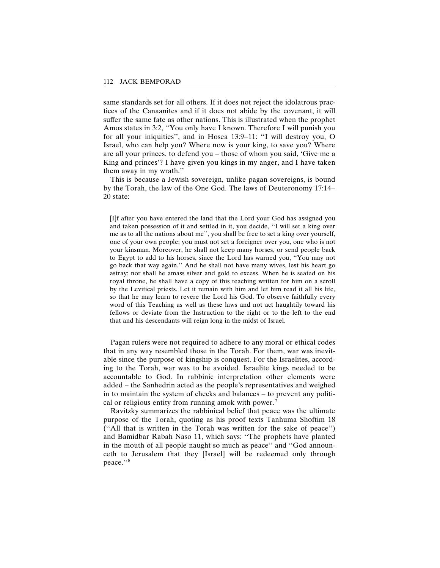same standards set for all others. If it does not reject the idolatrous practices of the Canaanites and if it does not abide by the covenant, it will suffer the same fate as other nations. This is illustrated when the prophet Amos states in 3:2, ''You only have I known. Therefore I will punish you for all your iniquities'', and in Hosea 13:9–11: ''I will destroy you, O Israel, who can help you? Where now is your king, to save you? Where are all your princes, to defend you – those of whom you said, 'Give me a King and princes'? I have given you kings in my anger, and I have taken them away in my wrath.''

This is because a Jewish sovereign, unlike pagan sovereigns, is bound by the Torah, the law of the One God. The laws of Deuteronomy 17:14– 20 state:

[I]f after you have entered the land that the Lord your God has assigned you and taken possession of it and settled in it, you decide, ''I will set a king over me as to all the nations about me'', you shall be free to set a king over yourself, one of your own people; you must not set a foreigner over you, one who is not your kinsman. Moreover, he shall not keep many horses, or send people back to Egypt to add to his horses, since the Lord has warned you, ''You may not go back that way again.'' And he shall not have many wives, lest his heart go astray; nor shall he amass silver and gold to excess. When he is seated on his royal throne, he shall have a copy of this teaching written for him on a scroll by the Levitical priests. Let it remain with him and let him read it all his life, so that he may learn to revere the Lord his God. To observe faithfully every word of this Teaching as well as these laws and not act haughtily toward his fellows or deviate from the Instruction to the right or to the left to the end that and his descendants will reign long in the midst of Israel.

Pagan rulers were not required to adhere to any moral or ethical codes that in any way resembled those in the Torah. For them, war was inevitable since the purpose of kingship is conquest. For the Israelites, according to the Torah, war was to be avoided. Israelite kings needed to be accountable to God. In rabbinic interpretation other elements were added – the Sanhedrin acted as the people's representatives and weighed in to maintain the system of checks and balances – to prevent any political or religious entity from running amok with power.<sup>7</sup>

Ravitzky summarizes the rabbinical belief that peace was the ultimate purpose of the Torah, quoting as his proof texts Tanhuma Shoftim 18 (''All that is written in the Torah was written for the sake of peace'') and Bamidbar Rabah Naso 11, which says: ''The prophets have planted in the mouth of all people naught so much as peace'' and ''God announceth to Jerusalem that they [Israel] will be redeemed only through peace.''8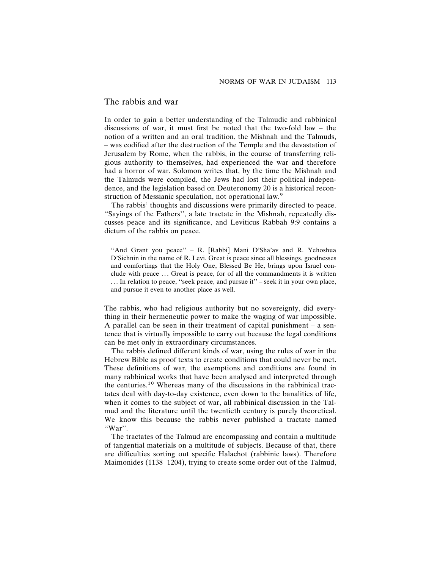# The rabbis and war

In order to gain a better understanding of the Talmudic and rabbinical discussions of war, it must first be noted that the two-fold law – the notion of a written and an oral tradition, the Mishnah and the Talmuds, – was codified after the destruction of the Temple and the devastation of Jerusalem by Rome, when the rabbis, in the course of transferring religious authority to themselves, had experienced the war and therefore had a horror of war. Solomon writes that, by the time the Mishnah and the Talmuds were compiled, the Jews had lost their political independence, and the legislation based on Deuteronomy 20 is a historical reconstruction of Messianic speculation, not operational law.<sup>9</sup>

The rabbis' thoughts and discussions were primarily directed to peace. ''Sayings of the Fathers'', a late tractate in the Mishnah, repeatedly discusses peace and its significance, and Leviticus Rabbah 9:9 contains a dictum of the rabbis on peace.

"And Grant you peace" – R. [Rabbi] Mani D'Sha'av and R. Yehoshua D'Sichnin in the name of R. Levi. Great is peace since all blessings, goodnesses and comfortings that the Holy One, Blessed Be He, brings upon Israel conclude with peace . . . Great is peace, for of all the commandments it is written . . . In relation to peace, ''seek peace, and pursue it'' – seek it in your own place, and pursue it even to another place as well.

The rabbis, who had religious authority but no sovereignty, did everything in their hermeneutic power to make the waging of war impossible. A parallel can be seen in their treatment of capital punishment  $-$  a sentence that is virtually impossible to carry out because the legal conditions can be met only in extraordinary circumstances.

The rabbis defined different kinds of war, using the rules of war in the Hebrew Bible as proof texts to create conditions that could never be met. These definitions of war, the exemptions and conditions are found in many rabbinical works that have been analysed and interpreted through the centuries.10 Whereas many of the discussions in the rabbinical tractates deal with day-to-day existence, even down to the banalities of life, when it comes to the subject of war, all rabbinical discussion in the Talmud and the literature until the twentieth century is purely theoretical. We know this because the rabbis never published a tractate named ''War''.

The tractates of the Talmud are encompassing and contain a multitude of tangential materials on a multitude of subjects. Because of that, there are difficulties sorting out specific Halachot (rabbinic laws). Therefore Maimonides (1138–1204), trying to create some order out of the Talmud,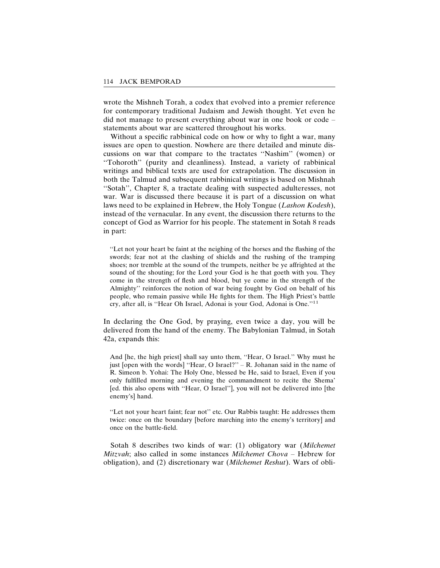wrote the Mishneh Torah, a codex that evolved into a premier reference for contemporary traditional Judaism and Jewish thought. Yet even he did not manage to present everything about war in one book or code – statements about war are scattered throughout his works.

Without a specific rabbinical code on how or why to fight a war, many issues are open to question. Nowhere are there detailed and minute discussions on war that compare to the tractates ''Nashim'' (women) or ''Tohoroth'' (purity and cleanliness). Instead, a variety of rabbinical writings and biblical texts are used for extrapolation. The discussion in both the Talmud and subsequent rabbinical writings is based on Mishnah ''Sotah'', Chapter 8, a tractate dealing with suspected adulteresses, not war. War is discussed there because it is part of a discussion on what laws need to be explained in Hebrew, the Holy Tongue (Lashon Kodesh), instead of the vernacular. In any event, the discussion there returns to the concept of God as Warrior for his people. The statement in Sotah 8 reads in part:

''Let not your heart be faint at the neighing of the horses and the flashing of the swords; fear not at the clashing of shields and the rushing of the tramping shoes; nor tremble at the sound of the trumpets, neither be ye affrighted at the sound of the shouting; for the Lord your God is he that goeth with you. They come in the strength of flesh and blood, but ye come in the strength of the Almighty'' reinforces the notion of war being fought by God on behalf of his people, who remain passive while He fights for them. The High Priest's battle cry, after all, is ''Hear Oh Israel, Adonai is your God, Adonai is One.''11

In declaring the One God, by praying, even twice a day, you will be delivered from the hand of the enemy. The Babylonian Talmud, in Sotah 42a, expands this:

And [he, the high priest] shall say unto them, ''Hear, O Israel.'' Why must he just [open with the words] ''Hear, O Israel?'' – R. Johanan said in the name of R. Simeon b. Yohai: The Holy One, blessed be He, said to Israel, Even if you only fulfilled morning and evening the commandment to recite the Shema' [ed. this also opens with ''Hear, O Israel''], you will not be delivered into [the enemy's] hand.

''Let not your heart faint; fear not'' etc. Our Rabbis taught: He addresses them twice: once on the boundary [before marching into the enemy's territory] and once on the battle-field.

Sotah 8 describes two kinds of war: (1) obligatory war (Milchemet Mitzvah; also called in some instances Milchemet Chova – Hebrew for obligation), and (2) discretionary war (Milchemet Reshut). Wars of obli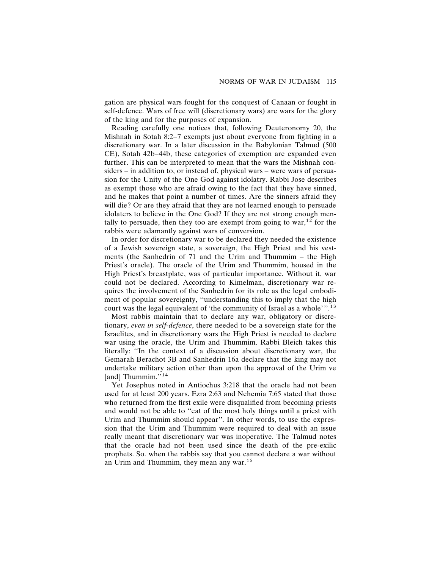gation are physical wars fought for the conquest of Canaan or fought in self-defence. Wars of free will (discretionary wars) are wars for the glory of the king and for the purposes of expansion.

Reading carefully one notices that, following Deuteronomy 20, the Mishnah in Sotah 8:2–7 exempts just about everyone from fighting in a discretionary war. In a later discussion in the Babylonian Talmud (500 CE), Sotah 42b–44b, these categories of exemption are expanded even further. This can be interpreted to mean that the wars the Mishnah considers – in addition to, or instead of, physical wars – were wars of persuasion for the Unity of the One God against idolatry. Rabbi Jose describes as exempt those who are afraid owing to the fact that they have sinned, and he makes that point a number of times. Are the sinners afraid they will die? Or are they afraid that they are not learned enough to persuade idolaters to believe in the One God? If they are not strong enough mentally to persuade, then they too are exempt from going to war,  $12$  for the rabbis were adamantly against wars of conversion.

In order for discretionary war to be declared they needed the existence of a Jewish sovereign state, a sovereign, the High Priest and his vestments (the Sanhedrin of 71 and the Urim and Thummim – the High Priest's oracle). The oracle of the Urim and Thummim, housed in the High Priest's breastplate, was of particular importance. Without it, war could not be declared. According to Kimelman, discretionary war requires the involvement of the Sanhedrin for its role as the legal embodiment of popular sovereignty, ''understanding this to imply that the high court was the legal equivalent of 'the community of Israel as a whole'''.13

Most rabbis maintain that to declare any war, obligatory or discretionary, even in self-defence, there needed to be a sovereign state for the Israelites, and in discretionary wars the High Priest is needed to declare war using the oracle, the Urim and Thummim. Rabbi Bleich takes this literally: ''In the context of a discussion about discretionary war, the Gemarah Berachot 3B and Sanhedrin 16a declare that the king may not undertake military action other than upon the approval of the Urim ve [and] Thummim."<sup>14</sup>

Yet Josephus noted in Antiochus 3:218 that the oracle had not been used for at least 200 years. Ezra 2:63 and Nehemia 7:65 stated that those who returned from the first exile were disqualified from becoming priests and would not be able to ''eat of the most holy things until a priest with Urim and Thummim should appear''. In other words, to use the expression that the Urim and Thummim were required to deal with an issue really meant that discretionary war was inoperative. The Talmud notes that the oracle had not been used since the death of the pre-exilic prophets. So. when the rabbis say that you cannot declare a war without an Urim and Thummim, they mean any war.15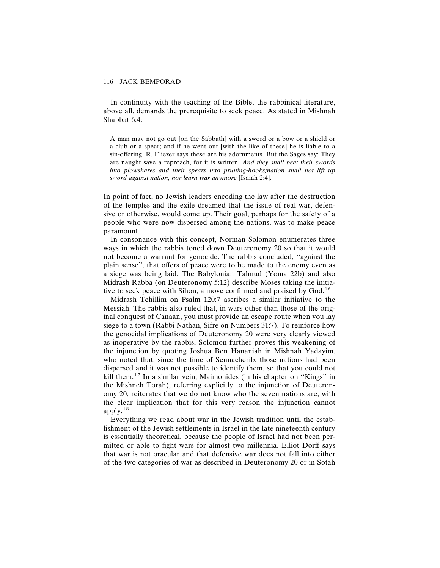In continuity with the teaching of the Bible, the rabbinical literature, above all, demands the prerequisite to seek peace. As stated in Mishnah Shabbat 6:4:

A man may not go out [on the Sabbath] with a sword or a bow or a shield or a club or a spear; and if he went out [with the like of these] he is liable to a sin-offering. R. Eliezer says these are his adornments. But the Sages say: They are naught save a reproach, for it is written, And they shall beat their swords into plowshares and their spears into pruning-hooks/nation shall not lift up sword against nation, nor learn war anymore [Isaiah 2:4].

In point of fact, no Jewish leaders encoding the law after the destruction of the temples and the exile dreamed that the issue of real war, defensive or otherwise, would come up. Their goal, perhaps for the safety of a people who were now dispersed among the nations, was to make peace paramount.

In consonance with this concept, Norman Solomon enumerates three ways in which the rabbis toned down Deuteronomy 20 so that it would not become a warrant for genocide. The rabbis concluded, ''against the plain sense'', that offers of peace were to be made to the enemy even as a siege was being laid. The Babylonian Talmud (Yoma 22b) and also Midrash Rabba (on Deuteronomy 5:12) describe Moses taking the initiative to seek peace with Sihon, a move confirmed and praised by God.<sup>16</sup>

Midrash Tehillim on Psalm 120:7 ascribes a similar initiative to the Messiah. The rabbis also ruled that, in wars other than those of the original conquest of Canaan, you must provide an escape route when you lay siege to a town (Rabbi Nathan, Sifre on Numbers 31:7). To reinforce how the genocidal implications of Deuteronomy 20 were very clearly viewed as inoperative by the rabbis, Solomon further proves this weakening of the injunction by quoting Joshua Ben Hananiah in Mishnah Yadayim, who noted that, since the time of Sennacherib, those nations had been dispersed and it was not possible to identify them, so that you could not kill them.17 In a similar vein, Maimonides (in his chapter on ''Kings'' in the Mishneh Torah), referring explicitly to the injunction of Deuteronomy 20, reiterates that we do not know who the seven nations are, with the clear implication that for this very reason the injunction cannot apply.18

Everything we read about war in the Jewish tradition until the establishment of the Jewish settlements in Israel in the late nineteenth century is essentially theoretical, because the people of Israel had not been permitted or able to fight wars for almost two millennia. Elliot Dorff says that war is not oracular and that defensive war does not fall into either of the two categories of war as described in Deuteronomy 20 or in Sotah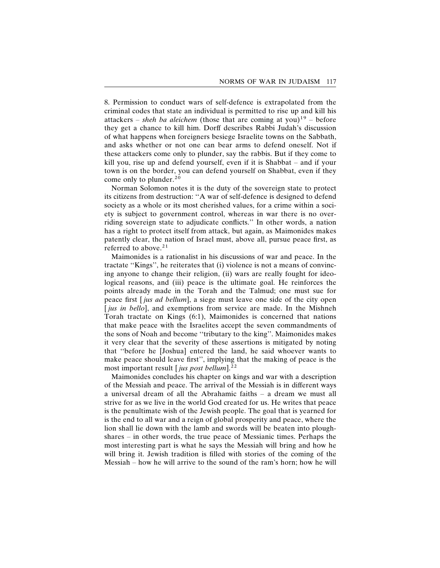8. Permission to conduct wars of self-defence is extrapolated from the criminal codes that state an individual is permitted to rise up and kill his attackers – *sheh ba aleichem* (those that are coming at you)<sup>19</sup> – before they get a chance to kill him. Dorff describes Rabbi Judah's discussion of what happens when foreigners besiege Israelite towns on the Sabbath, and asks whether or not one can bear arms to defend oneself. Not if these attackers come only to plunder, say the rabbis. But if they come to kill you, rise up and defend yourself, even if it is Shabbat – and if your town is on the border, you can defend yourself on Shabbat, even if they come only to plunder. $2<sup>0</sup>$ 

Norman Solomon notes it is the duty of the sovereign state to protect its citizens from destruction: ''A war of self-defence is designed to defend society as a whole or its most cherished values, for a crime within a society is subject to government control, whereas in war there is no overriding sovereign state to adjudicate conflicts.'' In other words, a nation has a right to protect itself from attack, but again, as Maimonides makes patently clear, the nation of Israel must, above all, pursue peace first, as referred to above. $21$ 

Maimonides is a rationalist in his discussions of war and peace. In the tractate ''Kings'', he reiterates that (i) violence is not a means of convincing anyone to change their religion, (ii) wars are really fought for ideological reasons, and (iii) peace is the ultimate goal. He reinforces the points already made in the Torah and the Talmud; one must sue for peace first [ jus ad bellum], a siege must leave one side of the city open [*jus in bello*], and exemptions from service are made. In the Mishneh Torah tractate on Kings (6:1), Maimonides is concerned that nations that make peace with the Israelites accept the seven commandments of the sons of Noah and become ''tributary to the king''. Maimonides makes it very clear that the severity of these assertions is mitigated by noting that ''before he [Joshua] entered the land, he said whoever wants to make peace should leave first'', implying that the making of peace is the most important result  $\int$  *jus post bellum*].<sup>22</sup>

Maimonides concludes his chapter on kings and war with a description of the Messiah and peace. The arrival of the Messiah is in different ways a universal dream of all the Abrahamic faiths – a dream we must all strive for as we live in the world God created for us. He writes that peace is the penultimate wish of the Jewish people. The goal that is yearned for is the end to all war and a reign of global prosperity and peace, where the lion shall lie down with the lamb and swords will be beaten into ploughshares – in other words, the true peace of Messianic times. Perhaps the most interesting part is what he says the Messiah will bring and how he will bring it. Jewish tradition is filled with stories of the coming of the Messiah – how he will arrive to the sound of the ram's horn; how he will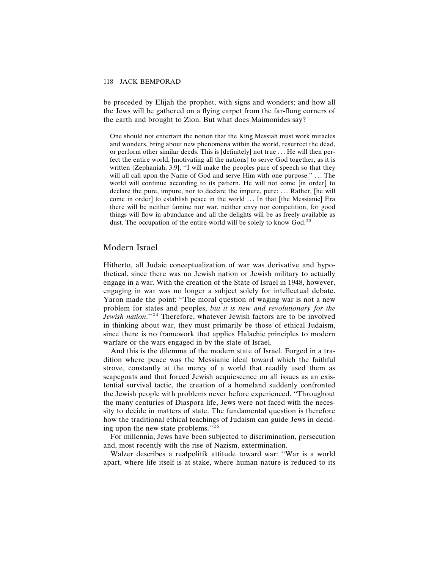be preceded by Elijah the prophet, with signs and wonders; and how all the Jews will be gathered on a flying carpet from the far-flung corners of the earth and brought to Zion. But what does Maimonides say?

One should not entertain the notion that the King Messiah must work miracles and wonders, bring about new phenomena within the world, resurrect the dead, or perform other similar deeds. This is [definitely] not true . . . He will then perfect the entire world, [motivating all the nations] to serve God together, as it is written [Zephaniah, 3:9], ''I will make the peoples pure of speech so that they will all call upon the Name of God and serve Him with one purpose." ... The world will continue according to its pattern. He will not come [in order] to declare the pure, impure, nor to declare the impure, pure; ... Rather, [he will come in order] to establish peace in the world . . . In that [the Messianic] Era there will be neither famine nor war, neither envy nor competition, for good things will flow in abundance and all the delights will be as freely available as dust. The occupation of the entire world will be solely to know God.<sup>23</sup>

## Modern Israel

Hitherto, all Judaic conceptualization of war was derivative and hypothetical, since there was no Jewish nation or Jewish military to actually engage in a war. With the creation of the State of Israel in 1948, however, engaging in war was no longer a subject solely for intellectual debate. Yaron made the point: ''The moral question of waging war is not a new problem for states and peoples, but it is new and revolutionary for the Jewish nation."<sup>24</sup> Therefore, whatever Jewish factors are to be involved in thinking about war, they must primarily be those of ethical Judaism, since there is no framework that applies Halachic principles to modern warfare or the wars engaged in by the state of Israel.

And this is the dilemma of the modern state of Israel. Forged in a tradition where peace was the Messianic ideal toward which the faithful strove, constantly at the mercy of a world that readily used them as scapegoats and that forced Jewish acquiescence on all issues as an existential survival tactic, the creation of a homeland suddenly confronted the Jewish people with problems never before experienced. ''Throughout the many centuries of Diaspora life, Jews were not faced with the necessity to decide in matters of state. The fundamental question is therefore how the traditional ethical teachings of Judaism can guide Jews in deciding upon the new state problems.''25

For millennia, Jews have been subjected to discrimination, persecution and, most recently with the rise of Nazism, extermination.

Walzer describes a realpolitik attitude toward war: ''War is a world apart, where life itself is at stake, where human nature is reduced to its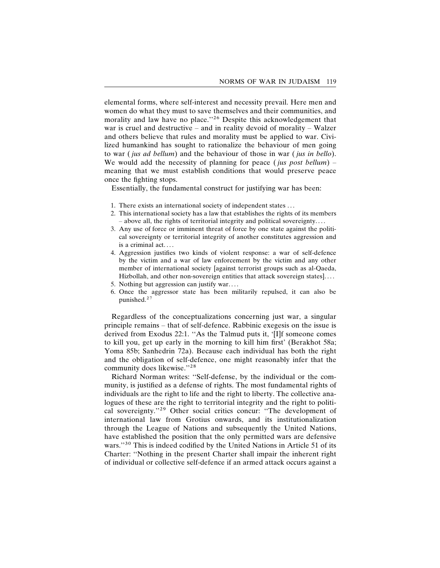elemental forms, where self-interest and necessity prevail. Here men and women do what they must to save themselves and their communities, and morality and law have no place."<sup>26</sup> Despite this acknowledgement that war is cruel and destructive – and in reality devoid of morality – Walzer and others believe that rules and morality must be applied to war. Civilized humankind has sought to rationalize the behaviour of men going to war ( jus ad bellum) and the behaviour of those in war ( jus in bello). We would add the necessity of planning for peace (*jus post bellum*) – meaning that we must establish conditions that would preserve peace once the fighting stops.

Essentially, the fundamental construct for justifying war has been:

- 1. There exists an international society of independent states . . .
- 2. This international society has a law that establishes the rights of its members – above all, the rights of territorial integrity and political sovereignty. . . .
- 3. Any use of force or imminent threat of force by one state against the political sovereignty or territorial integrity of another constitutes aggression and is a criminal act. . . .
- 4. Aggression justifies two kinds of violent response: a war of self-defence by the victim and a war of law enforcement by the victim and any other member of international society [against terrorist groups such as al-Qaeda, Hizbollah, and other non-sovereign entities that attack sovereign states]....
- 5. Nothing but aggression can justify war. . . .
- 6. Once the aggressor state has been militarily repulsed, it can also be punished.27

Regardless of the conceptualizations concerning just war, a singular principle remains – that of self-defence. Rabbinic exegesis on the issue is derived from Exodus 22:1. "As the Talmud puts it, '[I]f someone comes to kill you, get up early in the morning to kill him first' (Berakhot 58a; Yoma 85b; Sanhedrin 72a). Because each individual has both the right and the obligation of self-defence, one might reasonably infer that the community does likewise."<sup>28</sup>

Richard Norman writes: ''Self-defense, by the individual or the community, is justified as a defense of rights. The most fundamental rights of individuals are the right to life and the right to liberty. The collective analogues of these are the right to territorial integrity and the right to political sovereignty.''29 Other social critics concur: ''The development of international law from Grotius onwards, and its institutionalization through the League of Nations and subsequently the United Nations, have established the position that the only permitted wars are defensive wars."<sup>30</sup> This is indeed codified by the United Nations in Article 51 of its Charter: ''Nothing in the present Charter shall impair the inherent right of individual or collective self-defence if an armed attack occurs against a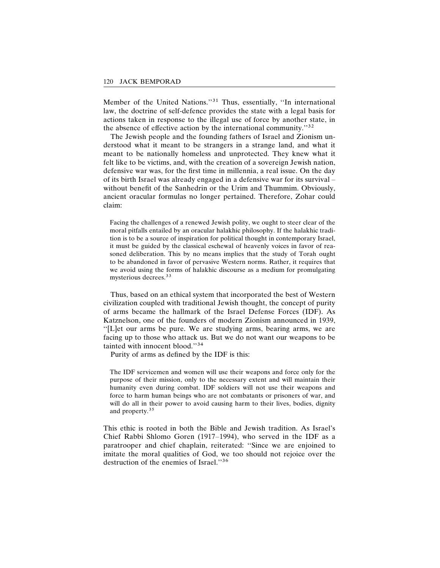Member of the United Nations.''31 Thus, essentially, ''In international law, the doctrine of self-defence provides the state with a legal basis for actions taken in response to the illegal use of force by another state, in the absence of effective action by the international community.''32

The Jewish people and the founding fathers of Israel and Zionism understood what it meant to be strangers in a strange land, and what it meant to be nationally homeless and unprotected. They knew what it felt like to be victims, and, with the creation of a sovereign Jewish nation, defensive war was, for the first time in millennia, a real issue. On the day of its birth Israel was already engaged in a defensive war for its survival – without benefit of the Sanhedrin or the Urim and Thummim. Obviously, ancient oracular formulas no longer pertained. Therefore, Zohar could claim:

Facing the challenges of a renewed Jewish polity, we ought to steer clear of the moral pitfalls entailed by an oracular halakhic philosophy. If the halakhic tradition is to be a source of inspiration for political thought in contemporary Israel, it must be guided by the classical eschewal of heavenly voices in favor of reasoned deliberation. This by no means implies that the study of Torah ought to be abandoned in favor of pervasive Western norms. Rather, it requires that we avoid using the forms of halakhic discourse as a medium for promulgating mysterious decrees.33

Thus, based on an ethical system that incorporated the best of Western civilization coupled with traditional Jewish thought, the concept of purity of arms became the hallmark of the Israel Defense Forces (IDF). As Katznelson, one of the founders of modern Zionism announced in 1939, ''[L]et our arms be pure. We are studying arms, bearing arms, we are facing up to those who attack us. But we do not want our weapons to be tainted with innocent blood.''34

Purity of arms as defined by the IDF is this:

The IDF servicemen and women will use their weapons and force only for the purpose of their mission, only to the necessary extent and will maintain their humanity even during combat. IDF soldiers will not use their weapons and force to harm human beings who are not combatants or prisoners of war, and will do all in their power to avoid causing harm to their lives, bodies, dignity and property.35

This ethic is rooted in both the Bible and Jewish tradition. As Israel's Chief Rabbi Shlomo Goren (1917–1994), who served in the IDF as a paratrooper and chief chaplain, reiterated: ''Since we are enjoined to imitate the moral qualities of God, we too should not rejoice over the destruction of the enemies of Israel.''36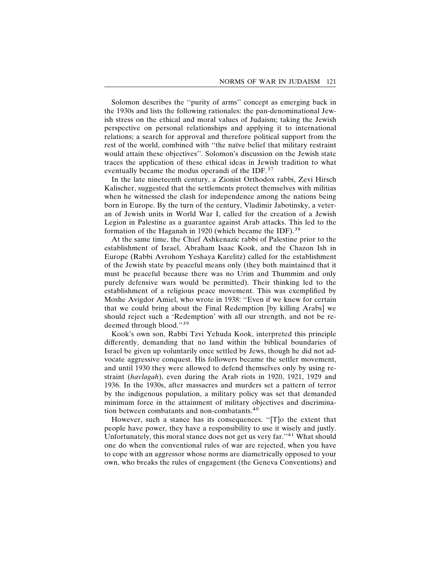Solomon describes the ''purity of arms'' concept as emerging back in the 1930s and lists the following rationales: the pan-denominational Jewish stress on the ethical and moral values of Judaism; taking the Jewish perspective on personal relationships and applying it to international relations; a search for approval and therefore political support from the rest of the world, combined with "the naïve belief that military restraint would attain these objectives''. Solomon's discussion on the Jewish state traces the application of these ethical ideas in Jewish tradition to what eventually became the modus operandi of the IDF.<sup>37</sup>

In the late nineteenth century, a Zionist Orthodox rabbi, Zevi Hirsch Kalischer, suggested that the settlements protect themselves with militias when he witnessed the clash for independence among the nations being born in Europe. By the turn of the century, Vladimir Jabotinsky, a veteran of Jewish units in World War I, called for the creation of a Jewish Legion in Palestine as a guarantee against Arab attacks. This led to the formation of the Haganah in 1920 (which became the IDF).<sup>38</sup>

At the same time, the Chief Ashkenazic rabbi of Palestine prior to the establishment of Israel, Abraham Isaac Kook, and the Chazon Ish in Europe (Rabbi Avrohom Yeshaya Karelitz) called for the establishment of the Jewish state by peaceful means only (they both maintained that it must be peaceful because there was no Urim and Thummim and only purely defensive wars would be permitted). Their thinking led to the establishment of a religious peace movement. This was exemplified by Moshe Avigdor Amiel, who wrote in 1938: ''Even if we knew for certain that we could bring about the Final Redemption [by killing Arabs] we should reject such a 'Redemption' with all our strength, and not be redeemed through blood.''39

Kook's own son, Rabbi Tzvi Yehuda Kook, interpreted this principle differently, demanding that no land within the biblical boundaries of Israel be given up voluntarily once settled by Jews, though he did not advocate aggressive conquest. His followers became the settler movement, and until 1930 they were allowed to defend themselves only by using restraint (havlagah), even during the Arab riots in 1920, 1921, 1929 and 1936. In the 1930s, after massacres and murders set a pattern of terror by the indigenous population, a military policy was set that demanded minimum force in the attainment of military objectives and discrimination between combatants and non-combatants.40

However, such a stance has its consequences. ''[T]o the extent that people have power, they have a responsibility to use it wisely and justly. Unfortunately, this moral stance does not get us very far."<sup>41</sup> What should one do when the conventional rules of war are rejected, when you have to cope with an aggressor whose norms are diametrically opposed to your own, who breaks the rules of engagement (the Geneva Conventions) and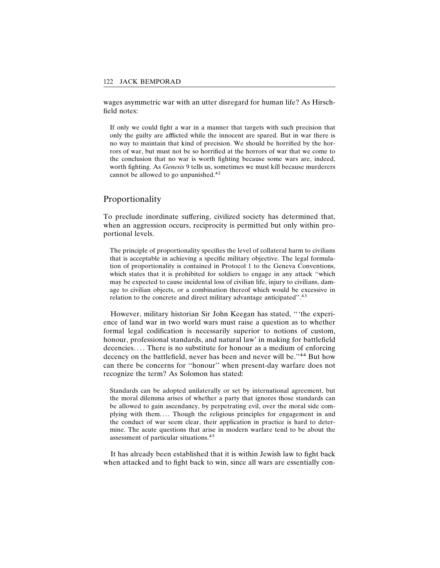wages asymmetric war with an utter disregard for human life? As Hirschfield notes:

If only we could fight a war in a manner that targets with such precision that only the guilty are afflicted while the innocent are spared. But in war there is no way to maintain that kind of precision. We should be horrified by the horrors of war, but must not be so horrified at the horrors of war that we come to the conclusion that no war is worth fighting because some wars are, indeed, worth fighting. As *Genesis* 9 tells us, sometimes we must kill because murderers cannot be allowed to go unpunished. $42$ 

## Proportionality

To preclude inordinate suffering, civilized society has determined that, when an aggression occurs, reciprocity is permitted but only within proportional levels.

The principle of proportionality specifies the level of collateral harm to civilians that is acceptable in achieving a specific military objective. The legal formulation of proportionality is contained in Protocol 1 to the Geneva Conventions, which states that it is prohibited for soldiers to engage in any attack ''which may be expected to cause incidental loss of civilian life, injury to civilians, damage to civilian objects, or a combination thereof which would be excessive in relation to the concrete and direct military advantage anticipated''.43

However, military historian Sir John Keegan has stated, '' 'the experience of land war in two world wars must raise a question as to whether formal legal codification is necessarily superior to notions of custom, honour, professional standards, and natural law' in making for battlefield decencies.... There is no substitute for honour as a medium of enforcing decency on the battlefield, never has been and never will be.<sup>144</sup> But how can there be concerns for ''honour'' when present-day warfare does not recognize the term? As Solomon has stated:

Standards can be adopted unilaterally or set by international agreement, but the moral dilemma arises of whether a party that ignores those standards can be allowed to gain ascendancy, by perpetrating evil, over the moral side complying with them.... Though the religious principles for engagement in and the conduct of war seem clear, their application in practice is hard to determine. The acute questions that arise in modern warfare tend to be about the assessment of particular situations.45

It has already been established that it is within Jewish law to fight back when attacked and to fight back to win, since all wars are essentially con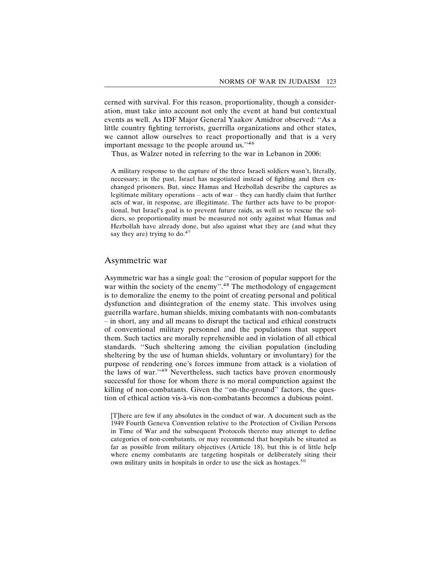cerned with survival. For this reason, proportionality, though a consideration, must take into account not only the event at hand but contextual events as well. As IDF Major General Yaakov Amidror observed: ''As a little country fighting terrorists, guerrilla organizations and other states, we cannot allow ourselves to react proportionally and that is a very important message to the people around us.''46

Thus, as Walzer noted in referring to the war in Lebanon in 2006:

A military response to the capture of the three Israeli soldiers wasn't, literally, necessary; in the past, Israel has negotiated instead of fighting and then exchanged prisoners. But, since Hamas and Hezbollah describe the captures as legitimate military operations – acts of war – they can hardly claim that further acts of war, in response, are illegitimate. The further acts have to be proportional, but Israel's goal is to prevent future raids, as well as to rescue the soldiers, so proportionality must be measured not only against what Hamas and Hezbollah have already done, but also against what they are (and what they say they are) trying to do.<sup>47</sup>

### Asymmetric war

Asymmetric war has a single goal: the ''erosion of popular support for the war within the society of the enemy".<sup>48</sup> The methodology of engagement is to demoralize the enemy to the point of creating personal and political dysfunction and disintegration of the enemy state. This involves using guerrilla warfare, human shields, mixing combatants with non-combatants – in short, any and all means to disrupt the tactical and ethical constructs of conventional military personnel and the populations that support them. Such tactics are morally reprehensible and in violation of all ethical standards. ''Such sheltering among the civilian population (including sheltering by the use of human shields, voluntary or involuntary) for the purpose of rendering one's forces immune from attack is a violation of the laws of war.''49 Nevertheless, such tactics have proven enormously successful for those for whom there is no moral compunction against the killing of non-combatants. Given the ''on-the-ground'' factors, the question of ethical action vis-à-vis non-combatants becomes a dubious point.

[T]here are few if any absolutes in the conduct of war. A document such as the 1949 Fourth Geneva Convention relative to the Protection of Civilian Persons in Time of War and the subsequent Protocols thereto may attempt to define categories of non-combatants, or may recommend that hospitals be situated as far as possible from military objectives (Article 18), but this is of little help where enemy combatants are targeting hospitals or deliberately siting their own military units in hospitals in order to use the sick as hostages.50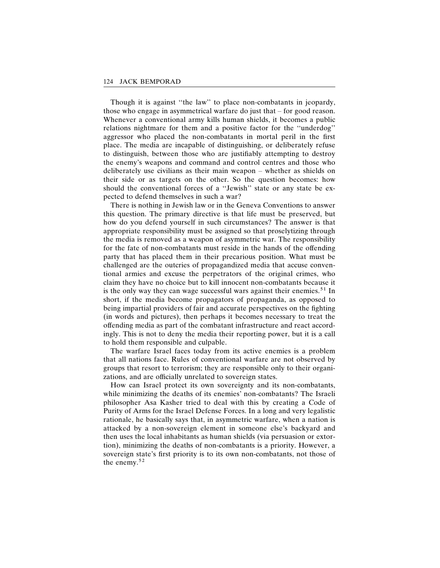Though it is against ''the law'' to place non-combatants in jeopardy, those who engage in asymmetrical warfare do just that – for good reason. Whenever a conventional army kills human shields, it becomes a public relations nightmare for them and a positive factor for the ''underdog'' aggressor who placed the non-combatants in mortal peril in the first place. The media are incapable of distinguishing, or deliberately refuse to distinguish, between those who are justifiably attempting to destroy the enemy's weapons and command and control centres and those who deliberately use civilians as their main weapon – whether as shields on their side or as targets on the other. So the question becomes: how should the conventional forces of a ''Jewish'' state or any state be expected to defend themselves in such a war?

There is nothing in Jewish law or in the Geneva Conventions to answer this question. The primary directive is that life must be preserved, but how do you defend yourself in such circumstances? The answer is that appropriate responsibility must be assigned so that proselytizing through the media is removed as a weapon of asymmetric war. The responsibility for the fate of non-combatants must reside in the hands of the offending party that has placed them in their precarious position. What must be challenged are the outcries of propagandized media that accuse conventional armies and excuse the perpetrators of the original crimes, who claim they have no choice but to kill innocent non-combatants because it is the only way they can wage successful wars against their enemies.<sup>51</sup> In short, if the media become propagators of propaganda, as opposed to being impartial providers of fair and accurate perspectives on the fighting (in words and pictures), then perhaps it becomes necessary to treat the offending media as part of the combatant infrastructure and react accordingly. This is not to deny the media their reporting power, but it is a call to hold them responsible and culpable.

The warfare Israel faces today from its active enemies is a problem that all nations face. Rules of conventional warfare are not observed by groups that resort to terrorism; they are responsible only to their organizations, and are officially unrelated to sovereign states.

How can Israel protect its own sovereignty and its non-combatants, while minimizing the deaths of its enemies' non-combatants? The Israeli philosopher Asa Kasher tried to deal with this by creating a Code of Purity of Arms for the Israel Defense Forces. In a long and very legalistic rationale, he basically says that, in asymmetric warfare, when a nation is attacked by a non-sovereign element in someone else's backyard and then uses the local inhabitants as human shields (via persuasion or extortion), minimizing the deaths of non-combatants is a priority. However, a sovereign state's first priority is to its own non-combatants, not those of the enemy.52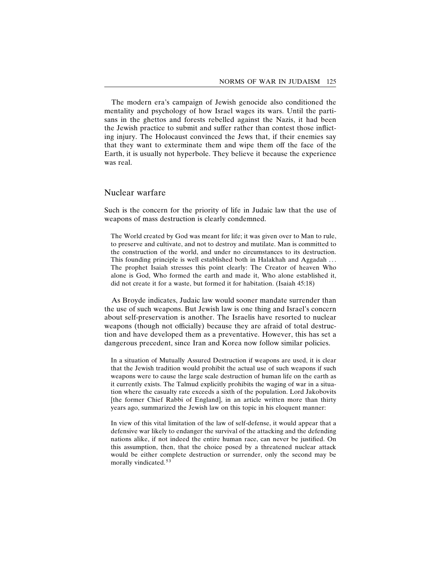The modern era's campaign of Jewish genocide also conditioned the mentality and psychology of how Israel wages its wars. Until the partisans in the ghettos and forests rebelled against the Nazis, it had been the Jewish practice to submit and suffer rather than contest those inflicting injury. The Holocaust convinced the Jews that, if their enemies say that they want to exterminate them and wipe them off the face of the Earth, it is usually not hyperbole. They believe it because the experience was real.

## Nuclear warfare

Such is the concern for the priority of life in Judaic law that the use of weapons of mass destruction is clearly condemned.

The World created by God was meant for life; it was given over to Man to rule, to preserve and cultivate, and not to destroy and mutilate. Man is committed to the construction of the world, and under no circumstances to its destruction. This founding principle is well established both in Halakhah and Aggadah ... The prophet Isaiah stresses this point clearly: The Creator of heaven Who alone is God, Who formed the earth and made it, Who alone established it, did not create it for a waste, but formed it for habitation. (Isaiah 45:18)

As Broyde indicates, Judaic law would sooner mandate surrender than the use of such weapons. But Jewish law is one thing and Israel's concern about self-preservation is another. The Israelis have resorted to nuclear weapons (though not officially) because they are afraid of total destruction and have developed them as a preventative. However, this has set a dangerous precedent, since Iran and Korea now follow similar policies.

In a situation of Mutually Assured Destruction if weapons are used, it is clear that the Jewish tradition would prohibit the actual use of such weapons if such weapons were to cause the large scale destruction of human life on the earth as it currently exists. The Talmud explicitly prohibits the waging of war in a situation where the casualty rate exceeds a sixth of the population. Lord Jakobovits [the former Chief Rabbi of England], in an article written more than thirty years ago, summarized the Jewish law on this topic in his eloquent manner:

In view of this vital limitation of the law of self-defense, it would appear that a defensive war likely to endanger the survival of the attacking and the defending nations alike, if not indeed the entire human race, can never be justified. On this assumption, then, that the choice posed by a threatened nuclear attack would be either complete destruction or surrender, only the second may be morally vindicated.<sup>53</sup>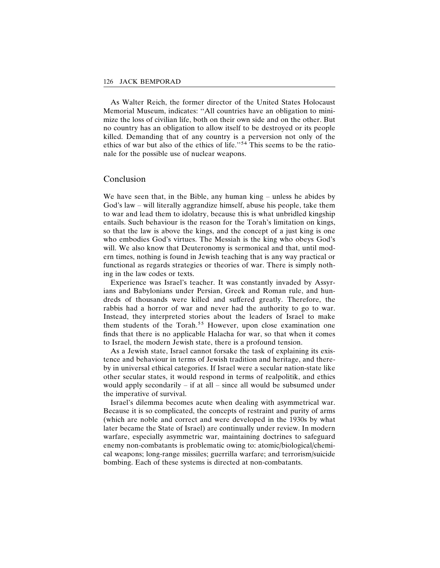As Walter Reich, the former director of the United States Holocaust Memorial Museum, indicates: ''All countries have an obligation to minimize the loss of civilian life, both on their own side and on the other. But no country has an obligation to allow itself to be destroyed or its people killed. Demanding that of any country is a perversion not only of the ethics of war but also of the ethics of life.''54 This seems to be the rationale for the possible use of nuclear weapons.

## Conclusion

We have seen that, in the Bible, any human king – unless he abides by God's law – will literally aggrandize himself, abuse his people, take them to war and lead them to idolatry, because this is what unbridled kingship entails. Such behaviour is the reason for the Torah's limitation on kings, so that the law is above the kings, and the concept of a just king is one who embodies God's virtues. The Messiah is the king who obeys God's will. We also know that Deuteronomy is sermonical and that, until modern times, nothing is found in Jewish teaching that is any way practical or functional as regards strategies or theories of war. There is simply nothing in the law codes or texts.

Experience was Israel's teacher. It was constantly invaded by Assyrians and Babylonians under Persian, Greek and Roman rule, and hundreds of thousands were killed and suffered greatly. Therefore, the rabbis had a horror of war and never had the authority to go to war. Instead, they interpreted stories about the leaders of Israel to make them students of the Torah.<sup>55</sup> However, upon close examination one finds that there is no applicable Halacha for war, so that when it comes to Israel, the modern Jewish state, there is a profound tension.

As a Jewish state, Israel cannot forsake the task of explaining its existence and behaviour in terms of Jewish tradition and heritage, and thereby in universal ethical categories. If Israel were a secular nation-state like other secular states, it would respond in terms of realpolitik, and ethics would apply secondarily – if at all – since all would be subsumed under the imperative of survival.

Israel's dilemma becomes acute when dealing with asymmetrical war. Because it is so complicated, the concepts of restraint and purity of arms (which are noble and correct and were developed in the 1930s by what later became the State of Israel) are continually under review. In modern warfare, especially asymmetric war, maintaining doctrines to safeguard enemy non-combatants is problematic owing to: atomic/biological/chemical weapons; long-range missiles; guerrilla warfare; and terrorism/suicide bombing. Each of these systems is directed at non-combatants.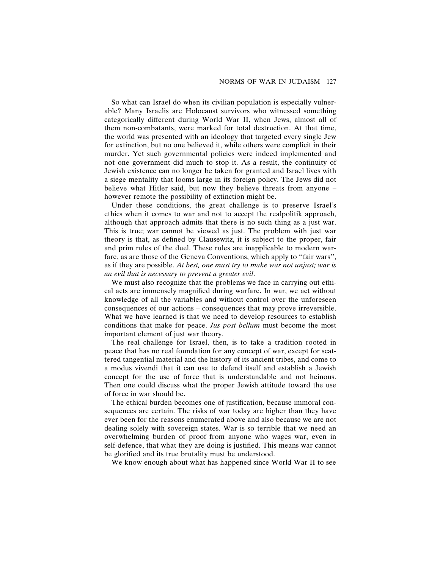So what can Israel do when its civilian population is especially vulnerable? Many Israelis are Holocaust survivors who witnessed something categorically different during World War II, when Jews, almost all of them non-combatants, were marked for total destruction. At that time, the world was presented with an ideology that targeted every single Jew for extinction, but no one believed it, while others were complicit in their murder. Yet such governmental policies were indeed implemented and not one government did much to stop it. As a result, the continuity of Jewish existence can no longer be taken for granted and Israel lives with a siege mentality that looms large in its foreign policy. The Jews did not believe what Hitler said, but now they believe threats from anyone – however remote the possibility of extinction might be.

Under these conditions, the great challenge is to preserve Israel's ethics when it comes to war and not to accept the realpolitik approach, although that approach admits that there is no such thing as a just war. This is true; war cannot be viewed as just. The problem with just war theory is that, as defined by Clausewitz, it is subject to the proper, fair and prim rules of the duel. These rules are inapplicable to modern warfare, as are those of the Geneva Conventions, which apply to ''fair wars'', as if they are possible. At best, one must try to make war not unjust; war is an evil that is necessary to prevent a greater evil.

We must also recognize that the problems we face in carrying out ethical acts are immensely magnified during warfare. In war, we act without knowledge of all the variables and without control over the unforeseen consequences of our actions – consequences that may prove irreversible. What we have learned is that we need to develop resources to establish conditions that make for peace. Jus post bellum must become the most important element of just war theory.

The real challenge for Israel, then, is to take a tradition rooted in peace that has no real foundation for any concept of war, except for scattered tangential material and the history of its ancient tribes, and come to a modus vivendi that it can use to defend itself and establish a Jewish concept for the use of force that is understandable and not heinous. Then one could discuss what the proper Jewish attitude toward the use of force in war should be.

The ethical burden becomes one of justification, because immoral consequences are certain. The risks of war today are higher than they have ever been for the reasons enumerated above and also because we are not dealing solely with sovereign states. War is so terrible that we need an overwhelming burden of proof from anyone who wages war, even in self-defence, that what they are doing is justified. This means war cannot be glorified and its true brutality must be understood.

We know enough about what has happened since World War II to see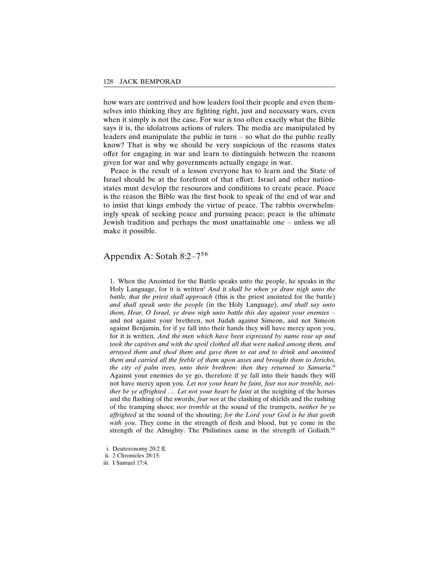how wars are contrived and how leaders fool their people and even themselves into thinking they are fighting right, just and necessary wars, even when it simply is not the case. For war is too often exactly what the Bible says it is, the idolatrous actions of rulers. The media are manipulated by leaders and manipulate the public in turn – so what do the public really know? That is why we should be very suspicious of the reasons states offer for engaging in war and learn to distinguish between the reasons given for war and why governments actually engage in war.

Peace is the result of a lesson everyone has to learn and the State of Israel should be at the forefront of that effort. Israel and other nationstates must develop the resources and conditions to create peace. Peace is the reason the Bible was the first book to speak of the end of war and to insist that kings embody the virtue of peace. The rabbis overwhelmingly speak of seeking peace and pursuing peace; peace is the ultimate Jewish tradition and perhaps the most unattainable one – unless we all make it possible.

# Appendix A: Sotah 8:2–756

1. When the Anointed for the Battle speaks unto the people, he speaks in the Holy Language, for it is written<sup>i</sup> And it shall be when ye draw nigh unto the battle, that the priest shall approach (this is the priest anointed for the battle) and shall speak unto the people (in the Holy Language), and shall say unto them, Hear, O Israel, ye draw nigh unto battle this day against your enemies – and not against your brethren, not Judah against Simeon, and not Simeon against Benjamin, for if ye fall into their hands they will have mercy upon you, for it is written, And the men which have been expressed by name rose up and took the captives and with the spoil clothed all that were naked among them, and arrayed them and shod them and gave them to eat and to drink and anointed them and carried all the feeble of them upon asses and brought them to Jericho, the city of palm trees, unto their brethren: then they returned to Samaria.<sup>ii</sup> Against your enemies do ye go, therefore if ye fall into their hands they will not have mercy upon you. Let not your heart be faint, fear not nor tremble, neither be ye affrighted  $\dots$  Let not your heart be faint at the neighing of the horses and the flashing of the swords; fear not at the clashing of shields and the rushing of the tramping shoes; nor tremble at the sound of the trumpets, neither be ye affrighted at the sound of the shouting; for the Lord your God is he that goeth with you. They come in the strength of flesh and blood, but ye come in the strength of the Almighty. The Philistines came in the strength of Goliath.<sup>iii</sup>

- i. Deuteronomy 20:2 ff.
- ii. 2 Chronicles 28:15.

iii. I Samuel 17:4.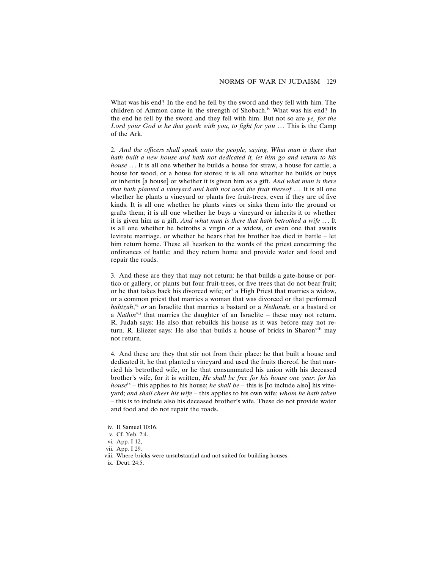What was his end? In the end he fell by the sword and they fell with him. The children of Ammon came in the strength of Shobach.<sup>iv</sup> What was his end? In the end he fell by the sword and they fell with him. But not so are ye, for the Lord your God is he that goeth with you, to fight for you  $\ldots$  This is the Camp of the Ark.

2. And the officers shall speak unto the people, saying, What man is there that hath built a new house and hath not dedicated it, let him go and return to his house ... It is all one whether he builds a house for straw, a house for cattle, a house for wood, or a house for stores; it is all one whether he builds or buys or inherits [a house] or whether it is given him as a gift. And what man is there that hath planted a vineyard and hath not used the fruit thereof  $\dots$  It is all one whether he plants a vineyard or plants five fruit-trees, even if they are of five kinds. It is all one whether he plants vines or sinks them into the ground or grafts them; it is all one whether he buys a vineyard or inherits it or whether it is given him as a gift. And what man is there that hath betrothed a wife ... It is all one whether he betroths a virgin or a widow, or even one that awaits levirate marriage, or whether he hears that his brother has died in battle – let him return home. These all hearken to the words of the priest concerning the ordinances of battle; and they return home and provide water and food and repair the roads.

3. And these are they that may not return: he that builds a gate-house or portico or gallery, or plants but four fruit-trees, or five trees that do not bear fruit; or he that takes back his divorced wife; or<sup>v</sup> a High Priest that marries a widow, or a common priest that marries a woman that was divorced or that performed halitzah, vi or an Israelite that marries a bastard or a Nethinah, or a bastard or a *Nathin*<sup>vii</sup> that marries the daughter of an Israelite – these may not return. R. Judah says: He also that rebuilds his house as it was before may not return. R. Eliezer says: He also that builds a house of bricks in Sharon<sup>viii</sup> may not return.

4. And these are they that stir not from their place: he that built a house and dedicated it, he that planted a vineyard and used the fruits thereof, he that married his betrothed wife, or he that consummated his union with his deceased brother's wife, for it is written, He shall be free for his house one year: for his house<sup>ix</sup> – this applies to his house; he shall be – this is [to include also] his vineyard; and shall cheer his wife – this applies to his own wife; whom he hath taken – this is to include also his deceased brother's wife. These do not provide water and food and do not repair the roads.

- iv. II Samuel 10:16.
- v. Cf. Yeb. 2:4.
- vi. App. I 12,
- vii. App. I 29.
- viii. Where bricks were unsubstantial and not suited for building houses.
- ix. Deut. 24:5.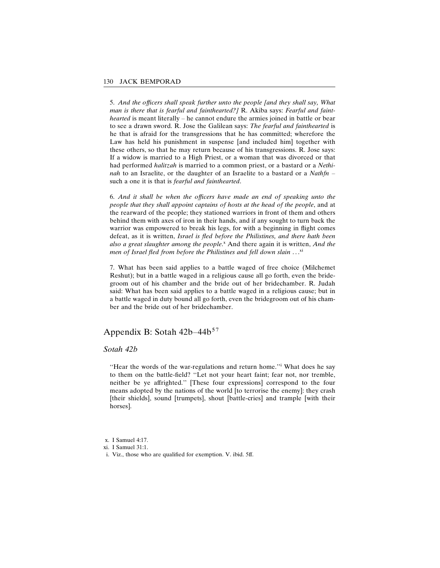5. And the officers shall speak further unto the people [and they shall say, What man is there that is fearful and fainthearted?] R. Akiba says: Fearful and fainthearted is meant literally – he cannot endure the armies joined in battle or bear to see a drawn sword. R. Jose the Galilean says: The fearful and fainthearted is he that is afraid for the transgressions that he has committed; wherefore the Law has held his punishment in suspense [and included him] together with these others, so that he may return because of his transgressions. R. Jose says: If a widow is married to a High Priest, or a woman that was divorced or that had performed halitzah is married to a common priest, or a bastard or a Nethinah to an Israelite, or the daughter of an Israelite to a bastard or a Nathfn – such a one it is that is fearful and fainthearted.

6. And it shall be when the officers have made an end of speaking unto the people that they shall appoint captains of hosts at the head of the people, and at the rearward of the people; they stationed warriors in front of them and others behind them with axes of iron in their hands, and if any sought to turn back the warrior was empowered to break his legs, for with a beginning in flight comes defeat, as it is written, Israel is fled before the Philistines, and there hath been also a great slaughter among the people.<sup>x</sup> And there again it is written, And the men of Israel fled from before the Philistines and fell down slain  $\dots^{x^{i}}$ 

7. What has been said applies to a battle waged of free choice (Milchemet Reshut); but in a battle waged in a religious cause all go forth, even the bridegroom out of his chamber and the bride out of her bridechamber. R. Judah said: What has been said applies to a battle waged in a religious cause; but in a battle waged in duty bound all go forth, even the bridegroom out of his chamber and the bride out of her bridechamber.

# Appendix B: Sotah 42b–44b57

#### Sotah 42b

"Hear the words of the war-regulations and return home." What does he say to them on the battle-field? ''Let not your heart faint; fear not, nor tremble, neither be ye affrighted.'' [These four expressions] correspond to the four means adopted by the nations of the world [to terrorise the enemy]: they crash [their shields], sound [trumpets], shout [battle-cries] and trample [with their horses].

i. Viz., those who are qualified for exemption. V. ibid. 5ff.

x. I Samuel 4:17.

xi. I Samuel 31:1.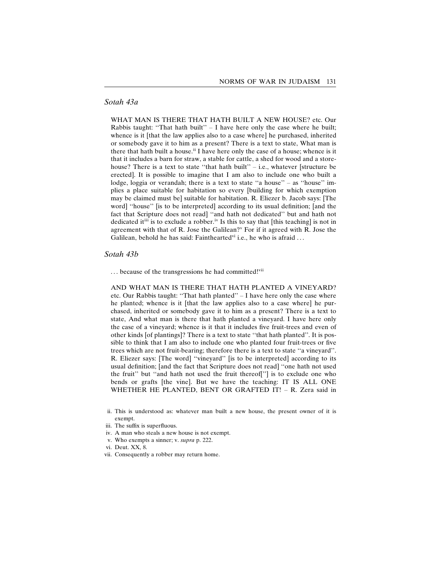## Sotah 43a

WHAT MAN IS THERE THAT HATH BUILT A NEW HOUSE? etc. Our Rabbis taught: "That hath built" – I have here only the case where he built; whence is it [that the law applies also to a case where] he purchased, inherited or somebody gave it to him as a present? There is a text to state, What man is there that hath built a house.<sup>ii</sup> I have here only the case of a house; whence is it that it includes a barn for straw, a stable for cattle, a shed for wood and a storehouse? There is a text to state "that hath built" – i.e., whatever [structure be erected]. It is possible to imagine that I am also to include one who built a lodge, loggia or verandah; there is a text to state "a house" – as "house" implies a place suitable for habitation so every [building for which exemption may be claimed must be] suitable for habitation. R. Eliezer b. Jacob says: [The word] ''house'' [is to be interpreted] according to its usual definition; [and the fact that Scripture does not read] ''and hath not dedicated'' but and hath not dedicated it<sup>iii</sup> is to exclude a robber.<sup>iv</sup> Is this to say that [this teaching] is not in agreement with that of R. Jose the Galilean?<sup>v</sup> For if it agreed with R. Jose the Galilean, behold he has said: Fainthearted<sup>vi</sup> i.e., he who is afraid ...

### Sotah 43b

... because of the transgressions he had committed!vii

AND WHAT MAN IS THERE THAT HATH PLANTED A VINEYARD? etc. Our Rabbis taught: ''That hath planted'' – I have here only the case where he planted; whence is it [that the law applies also to a case where] he purchased, inherited or somebody gave it to him as a present? There is a text to state, And what man is there that hath planted a vineyard. I have here only the case of a vineyard; whence is it that it includes five fruit-trees and even of other kinds [of plantings]? There is a text to state ''that hath planted''. It is possible to think that I am also to include one who planted four fruit-trees or five trees which are not fruit-bearing; therefore there is a text to state ''a vineyard''. R. Eliezer says: [The word] ''vineyard'' [is to be interpreted] according to its usual definition; [and the fact that Scripture does not read] ''one hath not used the fruit'' but ''and hath not used the fruit thereof[''] is to exclude one who bends or grafts [the vine]. But we have the teaching: IT IS ALL ONE WHETHER HE PLANTED, BENT OR GRAFTED IT! – R. Zera said in

- iv. A man who steals a new house is not exempt.
- v. Who exempts a sinner; v. supra p. 222.
- vi. Deut. XX, 8.
- vii. Consequently a robber may return home.

ii. This is understood as: whatever man built a new house, the present owner of it is exempt.

iii. The suffix is superfluous.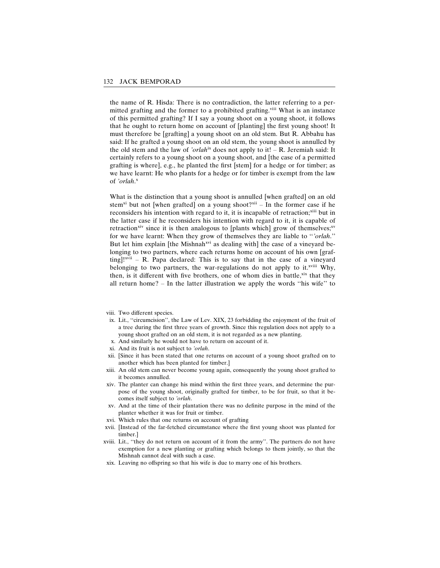the name of R. Hisda: There is no contradiction, the latter referring to a permitted grafting and the former to a prohibited grafting.<sup>viii</sup> What is an instance of this permitted grafting? If I say a young shoot on a young shoot, it follows that he ought to return home on account of [planting] the first young shoot! It must therefore be [grafting] a young shoot on an old stem. But R. Abbahu has said: If he grafted a young shoot on an old stem, the young shoot is annulled by the old stem and the law of 'orlah<sup>ix</sup> does not apply to it! – R. Jeremiah said: It certainly refers to a young shoot on a young shoot, and [the case of a permitted grafting is where], e.g., he planted the first [stem] for a hedge or for timber; as we have learnt: He who plants for a hedge or for timber is exempt from the law of 'orlah.x

What is the distinction that a young shoot is annulled [when grafted] on an old stem<sup>xi</sup> but not [when grafted] on a young shoot? $x^{1i}$  – In the former case if he reconsiders his intention with regard to it, it is incapable of retraction;<sup>xiii</sup> but in the latter case if he reconsiders his intention with regard to it, it is capable of retraction<sup>xiv</sup> since it is then analogous to [plants which] grow of themselves; $x^y$ for we have learnt: When they grow of themselves they are liable to "'orlah." But let him explain [the Mishnah<sup>xvi</sup> as dealing with] the case of a vineyard belonging to two partners, where each returns home on account of his own [grafting]! $xvii$  – R. Papa declared: This is to say that in the case of a vineyard belonging to two partners, the war-regulations do not apply to it.<sup>xviii</sup> Why, then, is it different with five brothers, one of whom dies in battle, $x$ <sup>ix</sup> that they all return home? – In the latter illustration we apply the words ''his wife'' to

- viii. Two different species.
- ix. Lit., "circumcision", the Law of Lev. XIX, 23 forbidding the enjoyment of the fruit of a tree during the first three years of growth. Since this regulation does not apply to a young shoot grafted on an old stem, it is not regarded as a new planting.
- x. And similarly he would not have to return on account of it.
- xi. And its fruit is not subject to 'orlah.
- xii. [Since it has been stated that one returns on account of a young shoot grafted on to another which has been planted for timber.]
- xiii. An old stem can never become young again, consequently the young shoot grafted to it becomes annulled.
- xiv. The planter can change his mind within the first three years, and determine the purpose of the young shoot, originally grafted for timber, to be for fruit, so that it becomes itself subject to 'orlah.
- xv. And at the time of their plantation there was no definite purpose in the mind of the planter whether it was for fruit or timber.
- xvi. Which rules that one returns on account of grafting
- xvii. [Instead of the far-fetched circumstance where the first young shoot was planted for timber.]
- xviii. Lit., ''they do not return on account of it from the army''. The partners do not have exemption for a new planting or grafting which belongs to them jointly, so that the Mishnah cannot deal with such a case.
- xix. Leaving no offspring so that his wife is due to marry one of his brothers.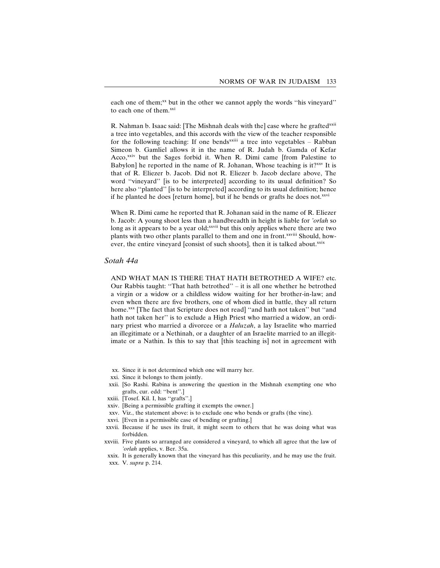each one of them;<sup>xx</sup> but in the other we cannot apply the words "his vineyard" to each one of them.<sup>xxi</sup>

R. Nahman b. Isaac said: [The Mishnah deals with the] case where he grafted<sup>xxii</sup> a tree into vegetables, and this accords with the view of the teacher responsible for the following teaching: If one bends<sup>xxiii</sup> a tree into vegetables – Rabban Simeon b. Gamliel allows it in the name of R. Judah b. Gamda of Kefar Acco,<sup>xxiv</sup> but the Sages forbid it. When R. Dimi came [from Palestine to Babylon] he reported in the name of R. Johanan, Whose teaching is it?xxv It is that of R. Eliezer b. Jacob. Did not R. Eliezer b. Jacob declare above, The word ''vineyard'' [is to be interpreted] according to its usual definition? So here also "planted" [is to be interpreted] according to its usual definition; hence if he planted he does [return home], but if he bends or grafts he does not.<sup>xxvi</sup>

When R. Dimi came he reported that R. Johanan said in the name of R. Eliezer b. Jacob: A young shoot less than a handbreadth in height is liable for 'orlah so long as it appears to be a year old;<sup>xxvii</sup> but this only applies where there are two plants with two other plants parallel to them and one in front.<sup>xxviii</sup> Should, however, the entire vineyard [consist of such shoots], then it is talked about.<sup>xxix</sup>

#### Sotah 44a

AND WHAT MAN IS THERE THAT HATH BETROTHED A WIFE? etc. Our Rabbis taught: ''That hath betrothed'' – it is all one whether he betrothed a virgin or a widow or a childless widow waiting for her brother-in-law; and even when there are five brothers, one of whom died in battle, they all return home.<sup>xxx</sup> [The fact that Scripture does not read] "and hath not taken" but "and hath not taken her'' is to exclude a High Priest who married a widow, an ordinary priest who married a divorcee or a Haluzah, a lay Israelite who married an illegitimate or a Nethinah, or a daughter of an Israelite married to an illegitimate or a Nathin. Is this to say that [this teaching is] not in agreement with

- xx. Since it is not determined which one will marry her.
- xxi. Since it belongs to them jointly.
- xxii. [So Rashi. Rabina is answering the question in the Mishnah exempting one who grafts, cur. edd: ''bent''.]
- xxiii. [Tosef. Kil. I, has ''grafts''.]
- xxiv. [Being a permissible grafting it exempts the owner.]
- xxv. Viz., the statement above: is to exclude one who bends or grafts (the vine).
- xxvi. [Even in a permissible case of bending or grafting.]
- xxvii. Because if he uses its fruit, it might seem to others that he was doing what was forbidden.
- xxviii. Five plants so arranged are considered a vineyard, to which all agree that the law of 'orlah applies, v. Ber. 35a.
- xxix. It is generally known that the vineyard has this peculiarity, and he may use the fruit. xxx. V. supra p. 214.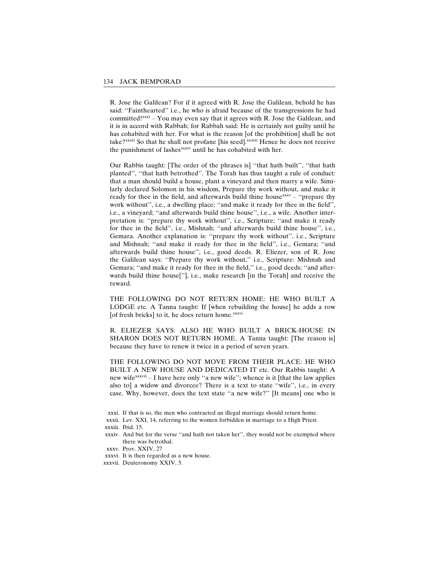R. Jose the Galilean? For if it agreed with R. Jose the Galilean, behold he has said: ''Fainthearted'' i.e., he who is afraid because of the transgressions he had committed!<sup>xxxi</sup> – You may even say that it agrees with R. Jose the Galilean, and it is in accord with Rabbah; for Rabbah said: He is certainly not guilty until he has cohabited with her. For what is the reason [of the prohibition] shall he not take?<sup>xxxii</sup> So that he shall not profane [his seed].<sup>xxxiii</sup> Hence he does not receive the punishment of lashes<sup>xxxiv</sup> until he has cohabited with her.

Our Rabbis taught: [The order of the phrases is] ''that hath built'', ''that hath planted'', ''that hath betrothed''. The Torah has thus taught a rule of conduct: that a man should build a house, plant a vineyard and then marry a wife. Similarly declared Solomon in his wisdom, Prepare thy work without, and make it ready for thee in the field, and afterwards build thine house $x$ <sub>xxxv</sub> – "prepare thy work without'', i.e., a dwelling place; ''and make it ready for thee in the field'', i.e., a vineyard; ''and afterwards build thine house'', i.e., a wife. Another interpretation is: ''prepare thy work without'', i.e., Scripture; ''and make it ready for thee in the field'', i.e., Mishnah; ''and afterwards build thine house'', i.e., Gemara. Another explanation is: ''prepare thy work without'', i.e., Scripture and Mishnah; ''and make it ready for thee in the field'', i.e., Gemara; ''and afterwards build thine house'', i.e., good deeds. R. Eliezer, son of R. Jose the Galilean says: "Prepare thy work without," i.e., Scripture: Mishnah and Gemara; "and make it ready for thee in the field," i.e., good deeds; "and afterwards build thine house[''], i.e., make research [in the Torah] and receive the reward.

THE FOLLOWING DO NOT RETURN HOME: HE WHO BUILT A LODGE etc. A Tanna taught: If [when rebuilding the house] he adds a row [of fresh bricks] to it, he does return home.xxxvi

R. ELIEZER SAYS: ALSO HE WHO BUILT A BRICK-HOUSE IN SHARON DOES NOT RETURN HOME. A Tanna taught: [The reason is] because they have to renew it twice in a period of seven years.

THE FOLLOWING DO NOT MOVE FROM THEIR PLACE: HE WHO BUILT A NEW HOUSE AND DEDICATED IT etc. Our Rabbis taught: A new wifexxxvii – I have here only ''a new wife''; whence is it [that the law applies also to] a widow and divorcee? There is a text to state ''wife'', i.e., in every case. Why, however, does the text state ''a new wife?'' [It means] one who is

- xxxi. If that is so, the men who contracted an illegal marriage should return home.
- xxxii. Lev. XXI, 14, referring to the women forbidden in marriage to a High Priest. xxxiii. Ibid. 15.
- xxxiv. And but for the verse ''and hath not taken her'', they would not be exempted where there was betrothal.
- xxxv. Prov. XXIV, 27
- xxxvi. It is then regarded as a new house.
- xxxvii. Deuteronomy XXIV, 5.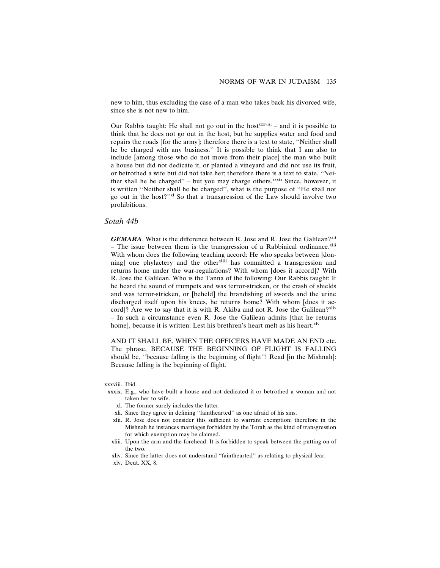new to him, thus excluding the case of a man who takes back his divorced wife, since she is not new to him.

Our Rabbis taught: He shall not go out in the host<sup>xxxviii</sup> – and it is possible to think that he does not go out in the host, but he supplies water and food and repairs the roads [for the army]; therefore there is a text to state, ''Neither shall he be charged with any business.'' It is possible to think that I am also to include [among those who do not move from their place] the man who built a house but did not dedicate it, or planted a vineyard and did not use its fruit, or betrothed a wife but did not take her; therefore there is a text to state, ''Neither shall he be charged" – but you may charge others.<sup>xxxix</sup> Since, however, it is written ''Neither shall he be charged'', what is the purpose of ''He shall not go out in the host?''xl So that a transgression of the Law should involve two prohibitions.

#### Sotah 44b

**GEMARA.** What is the difference between R. Jose and R. Jose the Galilean?<sup>xli</sup> – The issue between them is the transgression of a Rabbinical ordinance.<sup>xlii</sup> With whom does the following teaching accord: He who speaks between [donning] one phylactery and the other<sup>xliii</sup> has committed a transgression and returns home under the war-regulations? With whom [does it accord]? With R. Jose the Galilean. Who is the Tanna of the following: Our Rabbis taught: If he heard the sound of trumpets and was terror-stricken, or the crash of shields and was terror-stricken, or [beheld] the brandishing of swords and the urine discharged itself upon his knees, he returns home? With whom [does it accord]? Are we to say that it is with R. Akiba and not R. Jose the Galilean?<sup>xliv</sup> – In such a circumstance even R. Jose the Galilean admits [that he returns home], because it is written: Lest his brethren's heart melt as his heart.<sup>xlv</sup>

AND IT SHALL BE, WHEN THE OFFICERS HAVE MADE AN END etc. The phrase, BECAUSE THE BEGINNING OF FLIGHT IS FALLING should be, ''because falling is the beginning of flight''! Read [in the Mishnah]: Because falling is the beginning of flight.

xxxviii. Ibid.

- xxxix. E.g., who have built a house and not dedicated it or betrothed a woman and not taken her to wife.
	- xl. The former surely includes the latter.
	- xli. Since they agree in defining ''fainthearted'' as one afraid of his sins.
	- xlii. R. Jose does not consider this sufficient to warrant exemption; therefore in the Mishnah he instances marriages forbidden by the Torah as the kind of transgression for which exemption may be claimed.
	- xliii. Upon the arm and the forehead. It is forbidden to speak between the putting on of the two.
	- xliv. Since the latter does not understand ''fainthearted'' as relating to physical fear.
	- xlv. Deut. XX, 8.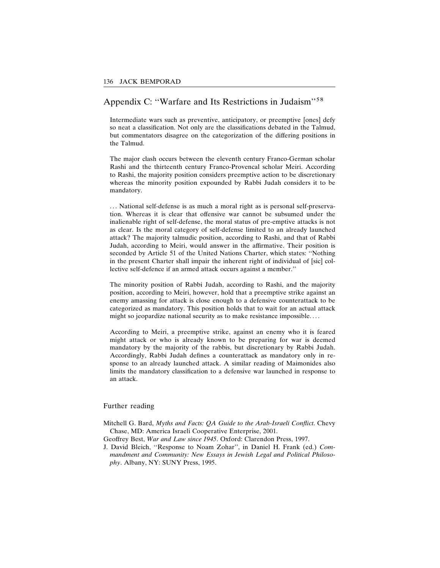# Appendix C: ''Warfare and Its Restrictions in Judaism''58

Intermediate wars such as preventive, anticipatory, or preemptive [ones] defy so neat a classification. Not only are the classifications debated in the Talmud, but commentators disagree on the categorization of the differing positions in the Talmud.

The major clash occurs between the eleventh century Franco-German scholar Rashi and the thirteenth century Franco-Provencal scholar Meiri. According to Rashi, the majority position considers preemptive action to be discretionary whereas the minority position expounded by Rabbi Judah considers it to be mandatory.

. . . National self-defense is as much a moral right as is personal self-preservation. Whereas it is clear that offensive war cannot be subsumed under the inalienable right of self-defense, the moral status of pre-emptive attacks is not as clear. Is the moral category of self-defense limited to an already launched attack? The majority talmudic position, according to Rashi, and that of Rabbi Judah, according to Meiri, would answer in the affirmative. Their position is seconded by Article 51 of the United Nations Charter, which states: ''Nothing in the present Charter shall impair the inherent right of individual of [sic] collective self-defence if an armed attack occurs against a member.''

The minority position of Rabbi Judah, according to Rashi, and the majority position, according to Meiri, however, hold that a preemptive strike against an enemy amassing for attack is close enough to a defensive counterattack to be categorized as mandatory. This position holds that to wait for an actual attack might so jeopardize national security as to make resistance impossible. . . .

According to Meiri, a preemptive strike, against an enemy who it is feared might attack or who is already known to be preparing for war is deemed mandatory by the majority of the rabbis, but discretionary by Rabbi Judah. Accordingly, Rabbi Judah defines a counterattack as mandatory only in response to an already launched attack. A similar reading of Maimonides also limits the mandatory classification to a defensive war launched in response to an attack.

## Further reading

- Mitchell G. Bard, Myths and Facts: QA Guide to the Arab-Israeli Conflict. Chevy Chase, MD: America Israeli Cooperative Enterprise, 2001.
- Geoffrey Best, War and Law since 1945. Oxford: Clarendon Press, 1997.
- J. David Bleich, ''Response to Noam Zohar'', in Daniel H. Frank (ed.) Commandment and Community: New Essays in Jewish Legal and Political Philosophy. Albany, NY: SUNY Press, 1995.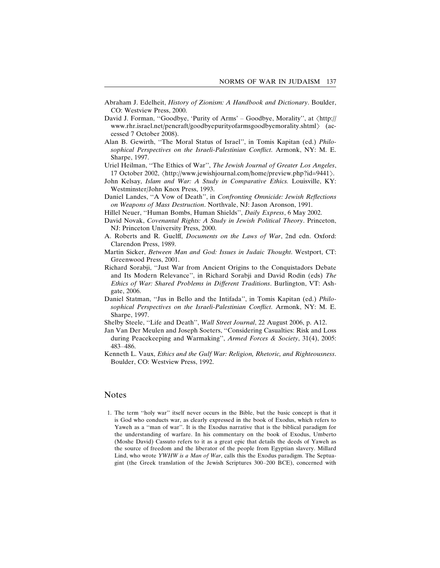- Abraham J. Edelheit, History of Zionism: A Handbook and Dictionary. Boulder, CO: Westview Press, 2000.
- David J. Forman, "Goodbye, 'Purity of Arms' Goodbye, Morality", at  $\langle$ http:// www.rhr.israel.net/pencraft/goodbyepurityofarmsgoodbyemorality.shtml> (accessed 7 October 2008).
- Alan B. Gewirth, "The Moral Status of Israel", in Tomis Kapitan (ed.) Philosophical Perspectives on the Israeli-Palestinian Conflict. Armonk, NY: M. E. Sharpe, 1997.
- Uriel Heilman, ''The Ethics of War'', The Jewish Journal of Greater Los Angeles, 17 October 2002,  $\langle$ http://www.jewishjournal.com/home/preview.php?id=9441 $\rangle$ .
- John Kelsay, Islam and War: A Study in Comparative Ethics. Louisville, KY: Westminster/John Knox Press, 1993.
- Daniel Landes, ''A Vow of Death'', in Confronting Omnicide: Jewish Reflections on Weapons of Mass Destruction. Northvale, NJ: Jason Aronson, 1991.
- Hillel Neuer, "Human Bombs, Human Shields", Daily Express, 6 May 2002.
- David Novak, Covenantal Rights: A Study in Jewish Political Theory. Princeton, NJ: Princeton University Press, 2000.
- A. Roberts and R. Guelff, Documents on the Laws of War, 2nd edn. Oxford: Clarendon Press, 1989.
- Martin Sicker, Between Man and God: Issues in Judaic Thought. Westport, CT: Greenwood Press, 2001.
- Richard Sorabji, ''Just War from Ancient Origins to the Conquistadors Debate and Its Modern Relevance'', in Richard Sorabji and David Rodin (eds) The Ethics of War: Shared Problems in Different Traditions. Burlington, VT: Ashgate, 2006.
- Daniel Statman, ''Jus in Bello and the Intifada'', in Tomis Kapitan (ed.) Philosophical Perspectives on the Israeli-Palestinian Conflict. Armonk, NY: M. E. Sharpe, 1997.
- Shelby Steele, "Life and Death", Wall Street Journal, 22 August 2006, p. A12.
- Jan Van Der Meulen and Joseph Soeters, ''Considering Casualties: Risk and Loss during Peacekeeping and Warmaking", Armed Forces & Society, 31(4), 2005: 483–486.
- Kenneth L. Vaux, Ethics and the Gulf War: Religion, Rhetoric, and Righteousness. Boulder, CO: Westview Press, 1992.

## Notes

1. The term ''holy war'' itself never occurs in the Bible, but the basic concept is that it is God who conducts war, as clearly expressed in the book of Exodus, which refers to Yaweh as a ''man of war''. It is the Exodus narrative that is the biblical paradigm for the understanding of warfare. In his commentary on the book of Exodus, Umberto (Moshe David) Cassuto refers to it as a great epic that details the deeds of Yaweh as the source of freedom and the liberator of the people from Egyptian slavery. Millard Lind, who wrote YWHW is a Man of War, calls this the Exodus paradigm. The Septuagint (the Greek translation of the Jewish Scriptures 300–200 BCE), concerned with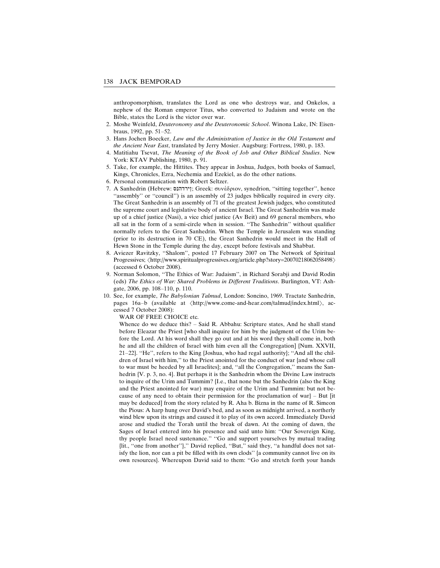anthropomorphism, translates the Lord as one who destroys war, and Onkelos, a nephew of the Roman emperor Titus, who converted to Judaism and wrote on the Bible, states the Lord is the victor over war.

- 2. Moshe Weinfeld, Deuteronomy and the Deuteronomic School. Winona Lake, IN: Eisenbraus, 1992, pp. 51–52.
- 3. Hans Jochen Boecker, Law and the Administration of Justice in the Old Testament and the Ancient Near East, translated by Jerry Mosier. Augsburg: Fortress, 1980, p. 183.
- 4. Matitiahu Tsevat, The Meaning of the Book of Job and Other Biblical Studies. New York: KTAV Publishing, 1980, p. 91.
- 5. Take, for example, the Hittites. They appear in Joshua, Judges, both books of Samuel, Kings, Chronicles, Ezra, Nechemia and Ezekiel, as do the other nations.
- 6. Personal communication with Robert Seltzer.
- 7. A Sanhedrin (Hebrew: וירדהנס; Greek: συνέδριον, synedrion, "sitting together", hence "assembly" or "council") is an assembly of 23 judges biblically required in every city. The Great Sanhedrin is an assembly of 71 of the greatest Jewish judges, who constituted the supreme court and legislative body of ancient Israel. The Great Sanhedrin was made up of a chief justice (Nasi), a vice chief justice (Av Beit) and 69 general members, who all sat in the form of a semi-circle when in session. ''The Sanhedrin'' without qualifier normally refers to the Great Sanhedrin. When the Temple in Jerusalem was standing (prior to its destruction in 70 CE), the Great Sanhedrin would meet in the Hall of Hewn Stone in the Temple during the day, except before festivals and Shabbat.
- 8. Aviezer Ravitzky, ''Shalom'', posted 17 February 2007 on The Network of Spiritual Progressives;  $\langle$ http://www.spiritualprogressives.org/article.php?story=20070218062058498 $\rangle$ (accessed 6 October 2008).
- 9. Norman Solomon, ''The Ethics of War: Judaism'', in Richard Sorabji and David Rodin (eds) The Ethics of War: Shared Problems in Different Traditions. Burlington, VT: Ashgate, 2006, pp. 108–110, p. 110.
- 10. See, for example, *The Babylonian Talmud*, London: Soncino, 1969. Tractate Sanhedrin, pages  $16a-b$  (available at  $\hbox{http://www.come-and-hear.com/talmud/index.html}$ ), accessed 7 October 2008):

WAR OF FREE CHOICE etc.

Whence do we deduce this? – Said R. Abbahu: Scripture states, And he shall stand before Eleazar the Priest [who shall inquire for him by the judgment of the Urim before the Lord. At his word shall they go out and at his word they shall come in, both he and all the children of Israel with him even all the Congregation] {Num. XXVII, 21–22}. ''He'', refers to the King {Joshua, who had regal authority}; ''And all the children of Israel with him,'' to the Priest anointed for the conduct of war {and whose call to war must be heeded by all Israelites}; and, ''all the Congregation,'' means the Sanhedrin {V. p. 3, no. 4}. But perhaps it is the Sanhedrin whom the Divine Law instructs to inquire of the Urim and Tummim? {I.e., that none but the Sanhedrin (also the King and the Priest anointed for war) may enquire of the Urim and Tummim: but not because of any need to obtain their permission for the proclamation of war $-$  But [it] may be deduced] from the story related by R. Aha b. Bizna in the name of R. Simeon the Pious: A harp hung over David's bed, and as soon as midnight arrived, a northerly wind blew upon its strings and caused it to play of its own accord. Immediately David arose and studied the Torah until the break of dawn. At the coming of dawn, the Sages of Israel entered into his presence and said unto him: ''Our Sovereign King, thy people Israel need sustenance.'' ''Go and support yourselves by mutual trading {lit., ''one from another''},'' David replied, ''But,'' said they, ''a handful does not satisfy the lion, nor can a pit be filled with its own clods'' {a community cannot live on its own resources}. Whereupon David said to them: ''Go and stretch forth your hands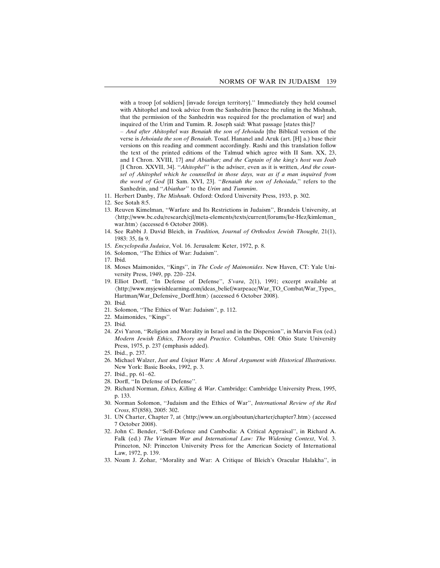with a troop [of soldiers] {invade foreign territory}.'' Immediately they held counsel with Ahitophel and took advice from the Sanhedrin {hence the ruling in the Mishnah, that the permission of the Sanhedrin was required for the proclamation of war} and inquired of the Urim and Tumim. R. Joseph said: What passage [states this]?

 $-$  And after Ahitophel was Benaiah the son of Jehoiada {the Biblical version of the verse is *Jehoiada the son of Benaiah*. Tosaf. Hananel and Aruk (art. [H] a.) base their versions on this reading and comment accordingly. Rashi and this translation follow the text of the printed editions of the Talmud which agree with II Sam. XX, 23, and I Chron. XVIII, 17} and Abiathar; and the Captain of the king's host was Joab {I Chron. XXVII, 34}. ''Ahitophel'' is the adviser, even as it is written, And the counsel of Ahitophel which he counselled in those days, was as if a man inquired from the word of God {II Sam. XVI, 23}. "Benaiah the son of Jehoiada," refers to the Sanhedrin, and "Abiathar" to the Urim and Tummim.

- 11. Herbert Danby, The Mishnah. Oxford: Oxford University Press, 1933, p. 302.
- 12. See Sotah 8:5.
- 13. Reuven Kimelman, ''Warfare and Its Restrictions in Judaism'', Brandeis University, at hhttp://www.bc.edu/research/cjl/meta-elements/texts/current/forums/Isr-Hez/kimleman\_ war.htm) (accessed 6 October 2008).
- 14. See Rabbi J. David Bleich, in Tradition, Journal of Orthodox Jewish Thought, 21(1), 1983: 35, fn 9.
- 15. Encyclopedia Judaica, Vol. 16. Jerusalem: Keter, 1972, p. 8.
- 16. Solomon, ''The Ethics of War: Judaism''.
- 17. Ibid.
- 18. Moses Maimonides, ''Kings'', in The Code of Maimonides. New Haven, CT: Yale University Press, 1949, pp. 220–224.
- 19. Elliot Dorff, ''In Defense of Defense'', S'vara, 2(1), 1991; excerpt available at hhttp://www.myjewishlearning.com/ideas\_belief/warpeace/War\_TO\_Combat/War\_Types\_ Hartman/War\_Defensive\_Dorff.htm $\rangle$  (accessed 6 October 2008).
- 20. Ibid.
- 21. Solomon, ''The Ethics of War: Judaism'', p. 112.
- 22. Maimonides, ''Kings''.
- 23. Ibid.
- 24. Zvi Yaron, ''Religion and Morality in Israel and in the Dispersion'', in Marvin Fox (ed.) Modern Jewish Ethics, Theory and Practice. Columbus, OH: Ohio State University Press, 1975, p. 237 (emphasis added).
- 25. Ibid., p. 237.
- 26. Michael Walzer, Just and Unjust Wars: A Moral Argument with Historical Illustrations. New York: Basic Books, 1992, p. 3.
- 27. Ibid., pp. 61–62.
- 28. Dorff, ''In Defense of Defense''.
- 29. Richard Norman, Ethics, Killing & War. Cambridge: Cambridge University Press, 1995, p. 133.
- 30. Norman Solomon, ''Judaism and the Ethics of War'', International Review of the Red Cross, 87(858), 2005: 302.
- 31. UN Charter, Chapter 7, at  $\frac{\text{http://www.un.org/aboutun/charter/chapter7.htm}}{$  (accessed 7 October 2008).
- 32. John C. Bender, ''Self-Defence and Cambodia: A Critical Appraisal'', in Richard A. Falk (ed.) The Vietnam War and International Law: The Widening Context, Vol. 3. Princeton, NJ: Princeton University Press for the American Society of International Law, 1972, p. 139.
- 33. Noam J. Zohar, ''Morality and War: A Critique of Bleich's Oracular Halakha'', in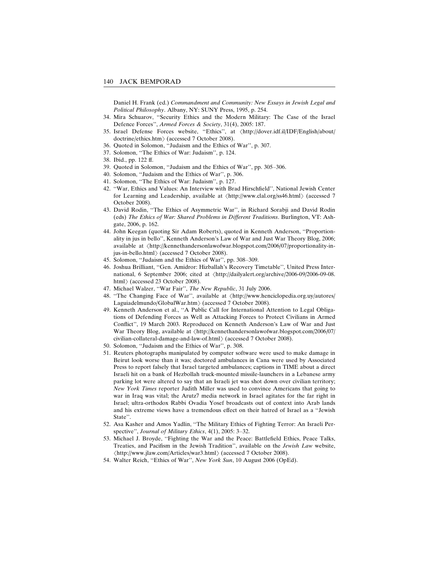Daniel H. Frank (ed.) Commandment and Community: New Essays in Jewish Legal and Political Philosophy. Albany, NY: SUNY Press, 1995, p. 254.

- 34. Mira Schuarov, ''Security Ethics and the Modern Military: The Case of the Israel Defence Forces'', Armed Forces & Society, 31(4), 2005: 187.
- 35. Israel Defense Forces website, "Ethics", at  $\hbox{\tt \langle http://door.i.df.i]/IDF/English/about/}$ doctrine/ethics.htm $\rangle$  (accessed 7 October 2008).
- 36. Quoted in Solomon, ''Judaism and the Ethics of War'', p. 307.
- 37. Solomon, ''The Ethics of War: Judaism'', p. 124.
- 38. Ibid., pp. 122 ff.
- 39. Quoted in Solomon, ''Judaism and the Ethics of War'', pp. 305–306.
- 40. Solomon, ''Judaism and the Ethics of War'', p. 306.
- 41. Solomon, ''The Ethics of War: Judaism'', p. 127.
- 42. ''War, Ethics and Values: An Interview with Brad Hirschfield'', National Jewish Center for Learning and Leadership, available at  $\langle$ http://www.clal.org/ss46.html $\rangle$  (accessed 7 October 2008).
- 43. David Rodin, ''The Ethics of Asymmetric War'', in Richard Sorabji and David Rodin (eds) The Ethics of War: Shared Problems in Different Traditions. Burlington, VT: Ashgate, 2006, p. 162.
- 44. John Keegan (quoting Sir Adam Roberts), quoted in Kenneth Anderson, ''Proportionality in jus in bello'', Kenneth Anderson's Law of War and Just War Theory Blog, 2006; available at  $\langle$ http://kennethandersonlawofwar.blogspot.com/2006/07/proportionality-injus-in-bello.html $\rangle$  (accessed 7 October 2008).
- 45. Solomon, ''Judaism and the Ethics of War'', pp. 308–309.
- 46. Joshua Brilliant, ''Gen. Amidror: Hizballah's Recovery Timetable'', United Press International, 6 September 2006; cited at  $\langle$ http://dailyalert.org/archive/2006-09/2006-09-08. html $\rangle$  (accessed 23 October 2008).
- 47. Michael Walzer, ''War Fair'', The New Republic, 31 July 2006.
- 48. "The Changing Face of War", available at  $\langle \text{http://www.henciclopedia.org.uy/autores/}$ Laguiadelmundo/GlobalWar.htm / (accessed 7 October 2008).
- 49. Kenneth Anderson et al., ''A Public Call for International Attention to Legal Obligations of Defending Forces as Well as Attacking Forces to Protect Civilians in Armed Conflict'', 19 March 2003. Reproduced on Kenneth Anderson's Law of War and Just War Theory Blog, available at  $\langle$ http://kennethandersonlawofwar.blogspot.com/2006/07/ civilian-collateral-damage-and-law-of.html $\rangle$  (accessed 7 October 2008).
- 50. Solomon, ''Judaism and the Ethics of War'', p. 308.
- 51. Reuters photographs manipulated by computer software were used to make damage in Beirut look worse than it was; doctored ambulances in Cana were used by Associated Press to report falsely that Israel targeted ambulances; captions in TIME about a direct Israeli hit on a bank of Hezbollah truck-mounted missile-launchers in a Lebanese army parking lot were altered to say that an Israeli jet was shot down over civilian territory; New York Times reporter Judith Miller was used to convince Americans that going to war in Iraq was vital; the Arutz7 media network in Israel agitates for the far right in Israel; ultra-orthodox Rabbi Ovadia Yosef broadcasts out of context into Arab lands and his extreme views have a tremendous effect on their hatred of Israel as a ''Jewish State''.
- 52. Asa Kasher and Amos Yadlin, ''The Military Ethics of Fighting Terror: An Israeli Perspective", Journal of Military Ethics, 4(1), 2005: 3–32.
- 53. Michael J. Broyde, ''Fighting the War and the Peace: Battlefield Ethics, Peace Talks, Treaties, and Pacifism in the Jewish Tradition'', available on the Jewish Law website,  $\langle$ http://www.jlaw.com/Articles/war3.html $\rangle$  (accessed 7 October 2008).
- 54. Walter Reich, "Ethics of War", New York Sun, 10 August 2006 (OpEd).